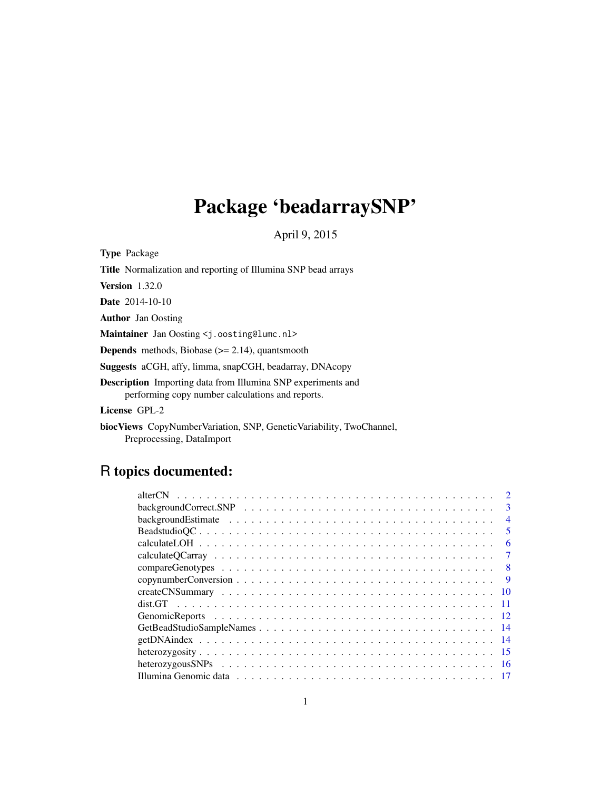## Package 'beadarraySNP'

April 9, 2015

<span id="page-0-0"></span>Type Package Title Normalization and reporting of Illumina SNP bead arrays

Version 1.32.0

Date 2014-10-10

Author Jan Oosting

Maintainer Jan Oosting <j.oosting@lumc.nl>

Depends methods, Biobase (>= 2.14), quantsmooth

Suggests aCGH, affy, limma, snapCGH, beadarray, DNAcopy

Description Importing data from Illumina SNP experiments and performing copy number calculations and reports.

License GPL-2

biocViews CopyNumberVariation, SNP, GeneticVariability, TwoChannel, Preprocessing, DataImport

## R topics documented:

| $\mathcal{D}$                                                                                                         |
|-----------------------------------------------------------------------------------------------------------------------|
| $\mathcal{E}$                                                                                                         |
| $\overline{4}$                                                                                                        |
| $\overline{\mathbf{5}}$                                                                                               |
| 6                                                                                                                     |
|                                                                                                                       |
| - 8                                                                                                                   |
| -9                                                                                                                    |
| - 10                                                                                                                  |
|                                                                                                                       |
|                                                                                                                       |
|                                                                                                                       |
|                                                                                                                       |
|                                                                                                                       |
| heterozygous SNPs $\ldots \ldots \ldots \ldots \ldots \ldots \ldots \ldots \ldots \ldots \ldots \ldots \ldots$<br>-16 |
|                                                                                                                       |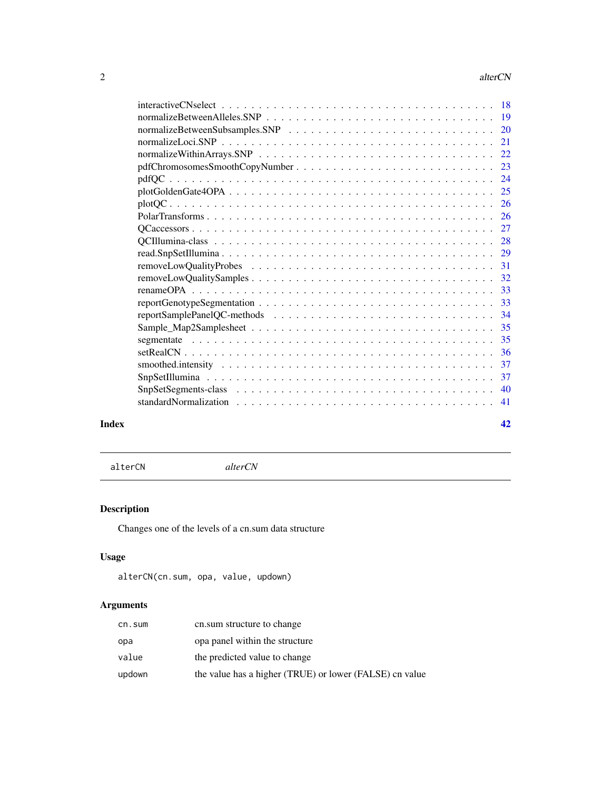<span id="page-1-0"></span>

|       | 41 |
|-------|----|
| Index | 42 |

<span id="page-1-1"></span>alterCN *alterCN*

### Description

Changes one of the levels of a cn.sum data structure

### Usage

```
alterCN(cn.sum, opa, value, updown)
```
### Arguments

| cn.sum | cn.sum structure to change                              |
|--------|---------------------------------------------------------|
| opa    | opa panel within the structure                          |
| value  | the predicted value to change                           |
| updown | the value has a higher (TRUE) or lower (FALSE) cn value |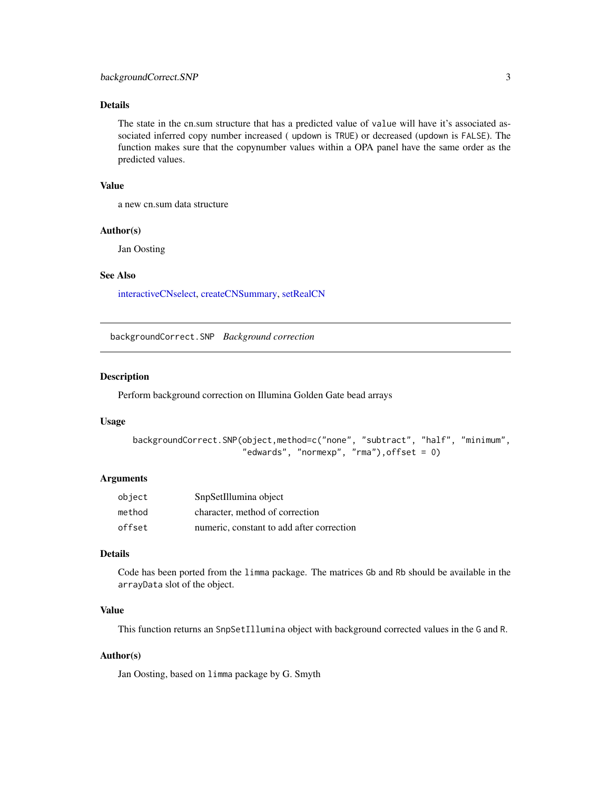### <span id="page-2-0"></span>Details

The state in the cn.sum structure that has a predicted value of value will have it's associated associated inferred copy number increased ( updown is TRUE) or decreased (updown is FALSE). The function makes sure that the copynumber values within a OPA panel have the same order as the predicted values.

### Value

a new cn.sum data structure

### Author(s)

Jan Oosting

### See Also

[interactiveCNselect,](#page-17-1) [createCNSummary,](#page-9-1) [setRealCN](#page-35-1)

<span id="page-2-1"></span>backgroundCorrect.SNP *Background correction*

#### **Description**

Perform background correction on Illumina Golden Gate bead arrays

#### Usage

```
backgroundCorrect.SNP(object,method=c("none", "subtract", "half", "minimum",
                      "edwards", "normexp", "rma"),offset = 0)
```
### Arguments

| object | SnpSetIllumina object                     |
|--------|-------------------------------------------|
| method | character, method of correction           |
| offset | numeric, constant to add after correction |

### Details

Code has been ported from the limma package. The matrices Gb and Rb should be available in the arrayData slot of the object.

#### Value

This function returns an SnpSetIllumina object with background corrected values in the G and R.

#### Author(s)

Jan Oosting, based on limma package by G. Smyth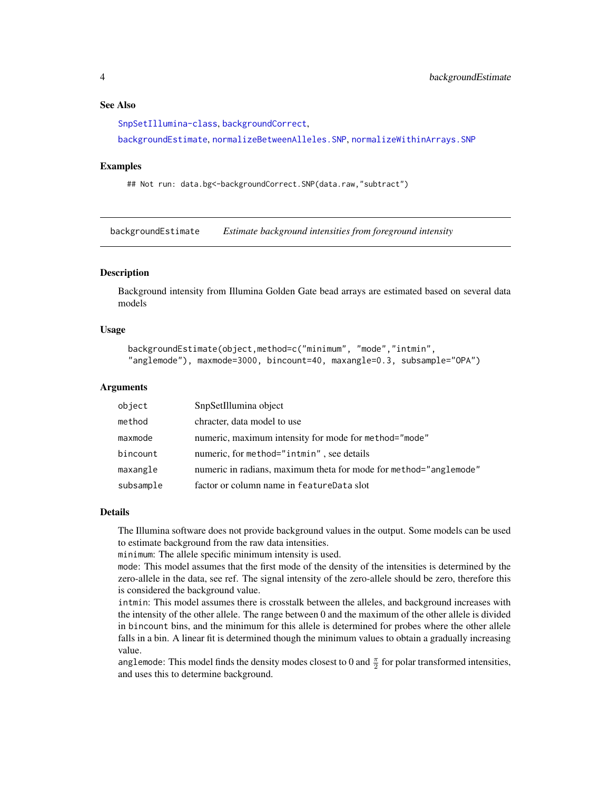#### <span id="page-3-0"></span>See Also

[SnpSetIllumina-class](#page-36-1), [backgroundCorrect](#page-0-0),

[backgroundEstimate](#page-3-1), [normalizeBetweenAlleles.SNP](#page-18-1), [normalizeWithinArrays.SNP](#page-21-1)

#### Examples

## Not run: data.bg<-backgroundCorrect.SNP(data.raw,"subtract")

<span id="page-3-1"></span>backgroundEstimate *Estimate background intensities from foreground intensity*

### Description

Background intensity from Illumina Golden Gate bead arrays are estimated based on several data models

#### Usage

```
backgroundEstimate(object,method=c("minimum", "mode","intmin",
"anglemode"), maxmode=3000, bincount=40, maxangle=0.3, subsample="OPA")
```
#### Arguments

| object    | SnpSetIllumina object                                             |
|-----------|-------------------------------------------------------------------|
| method    | chracter, data model to use                                       |
| maxmode   | numeric, maximum intensity for mode for method="mode"             |
| bincount  | numeric, for method="intmin", see details                         |
| maxangle  | numeric in radians, maximum theta for mode for method="anglemode" |
| subsample | factor or column name in featureData slot                         |

#### Details

The Illumina software does not provide background values in the output. Some models can be used to estimate background from the raw data intensities.

minimum: The allele specific minimum intensity is used.

mode: This model assumes that the first mode of the density of the intensities is determined by the zero-allele in the data, see ref. The signal intensity of the zero-allele should be zero, therefore this is considered the background value.

intmin: This model assumes there is crosstalk between the alleles, and background increases with the intensity of the other allele. The range between 0 and the maximum of the other allele is divided in bincount bins, and the minimum for this allele is determined for probes where the other allele falls in a bin. A linear fit is determined though the minimum values to obtain a gradually increasing value.

anglemode: This model finds the density modes closest to 0 and  $\frac{\pi}{2}$  for polar transformed intensities, and uses this to determine background.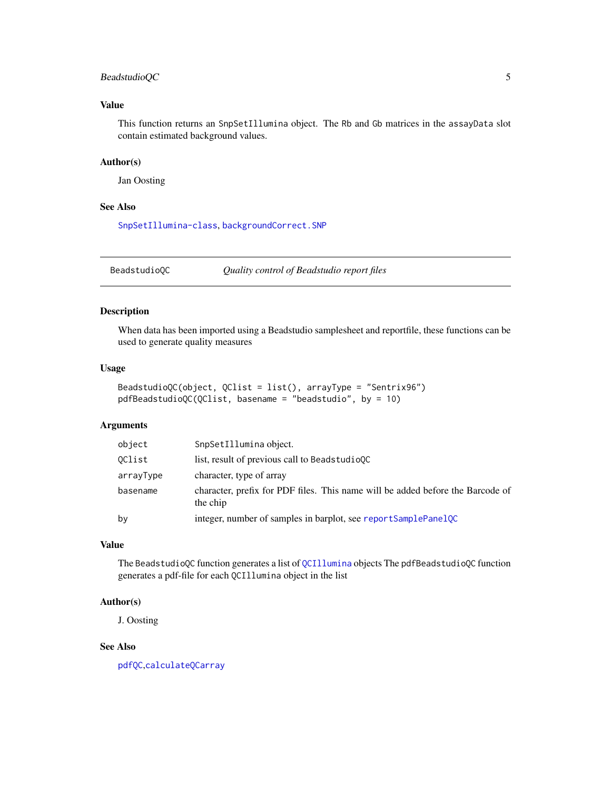### <span id="page-4-0"></span>BeadstudioQC 5

### Value

This function returns an SnpSetIllumina object. The Rb and Gb matrices in the assayData slot contain estimated background values.

### Author(s)

Jan Oosting

#### See Also

[SnpSetIllumina-class](#page-36-1), [backgroundCorrect.SNP](#page-2-1)

BeadstudioQC *Quality control of Beadstudio report files*

#### Description

When data has been imported using a Beadstudio samplesheet and reportfile, these functions can be used to generate quality measures

### Usage

```
BeadstudioQC(object, QClist = list(), arrayType = "Sentrix96")
pdfBeadstudioQC(QClist, basename = "beadstudio", by = 10)
```
### Arguments

| object    | SnpSetIllumina object.                                                                     |
|-----------|--------------------------------------------------------------------------------------------|
| OClist    | list, result of previous call to Beadstudio0C                                              |
| arrayType | character, type of array                                                                   |
| basename  | character, prefix for PDF files. This name will be added before the Barcode of<br>the chip |
| by        | integer, number of samples in barplot, see reportSamplePanelQC                             |

#### Value

The BeadstudioQC function generates a list of [QCIllumina](#page-27-1) objects The pdfBeadstudioQC function generates a pdf-file for each QCIllumina object in the list

#### Author(s)

J. Oosting

#### See Also

[pdfQC](#page-23-1),[calculateQCarray](#page-6-1)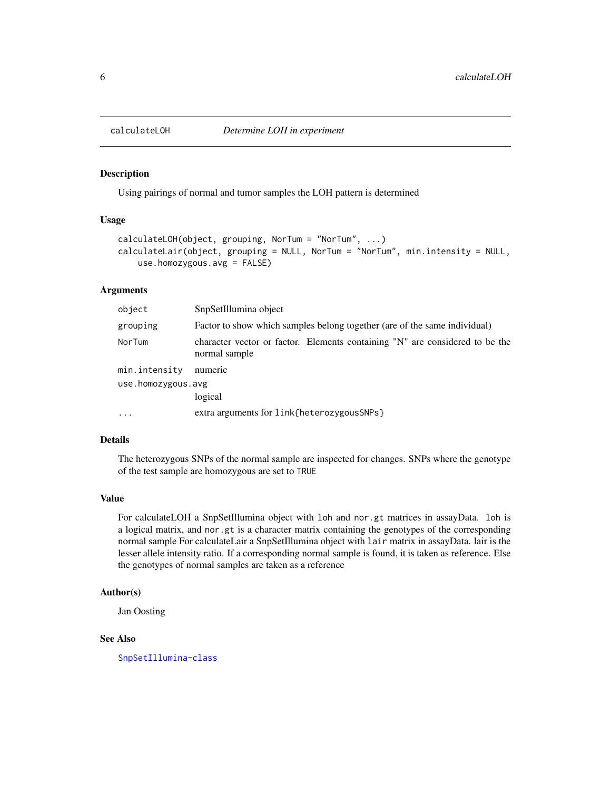<span id="page-5-0"></span>

#### Description

Using pairings of normal and tumor samples the LOH pattern is determined

### Usage

```
calculateLOH(object, grouping, NorTum = "NorTum", ...)
calculateLair(object, grouping = NULL, NorTum = "NorTum", min.intensity = NULL,
    use.homozygous.avg = FALSE)
```
### Arguments

| object             | SnpSetIllumina object                                                                         |
|--------------------|-----------------------------------------------------------------------------------------------|
| grouping           | Factor to show which samples belong together (are of the same individual)                     |
| NorTum             | character vector or factor. Elements containing "N" are considered to be the<br>normal sample |
| min.intensity      | numeric                                                                                       |
| use.homozygous.avg | logical                                                                                       |
| $\cdot$            | extra arguments for link{heterozygousSNPs}                                                    |

### Details

The heterozygous SNPs of the normal sample are inspected for changes. SNPs where the genotype of the test sample are homozygous are set to TRUE

#### Value

For calculateLOH a SnpSetIllumina object with loh and nor.gt matrices in assayData. loh is a logical matrix, and nor.gt is a character matrix containing the genotypes of the corresponding normal sample For calculateLair a SnpSetIllumina object with lair matrix in assayData. lair is the lesser allele intensity ratio. If a corresponding normal sample is found, it is taken as reference. Else the genotypes of normal samples are taken as a reference

#### Author(s)

Jan Oosting

### See Also

[SnpSetIllumina-class](#page-36-1)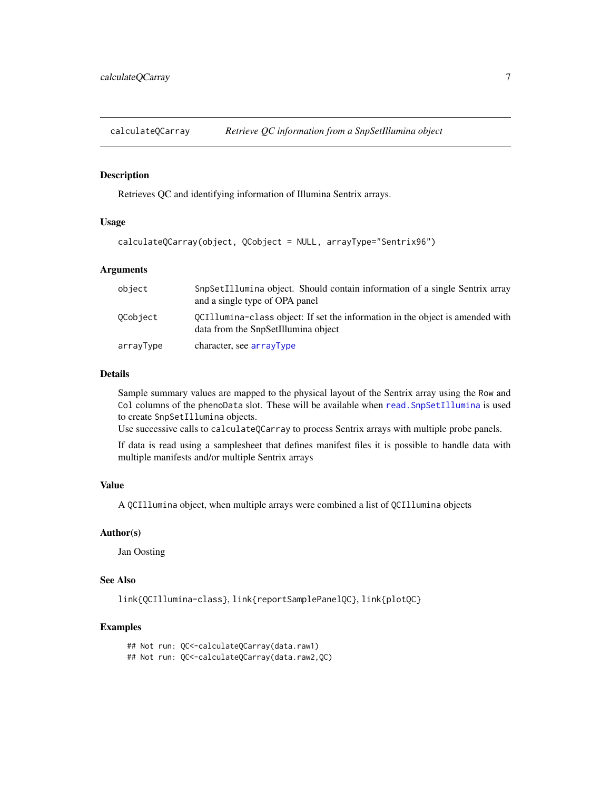<span id="page-6-1"></span><span id="page-6-0"></span>

### Description

Retrieves QC and identifying information of Illumina Sentrix arrays.

#### Usage

```
calculateQCarray(object, QCobject = NULL, arrayType="Sentrix96")
```
### Arguments

| object    | SnpSetIllumina object. Should contain information of a single Sentrix array<br>and a single type of OPA panel        |
|-----------|----------------------------------------------------------------------------------------------------------------------|
| OCobiect  | OCI11umina-class object: If set the information in the object is amended with<br>data from the SnpSetIllumina object |
| arrayType | character, see arrayType                                                                                             |

#### Details

Sample summary values are mapped to the physical layout of the Sentrix array using the Row and Col columns of the phenoData slot. These will be available when [read.SnpSetIllumina](#page-28-1) is used to create SnpSetIllumina objects.

Use successive calls to calculateQCarray to process Sentrix arrays with multiple probe panels.

If data is read using a samplesheet that defines manifest files it is possible to handle data with multiple manifests and/or multiple Sentrix arrays

#### Value

A QCIllumina object, when multiple arrays were combined a list of QCIllumina objects

### Author(s)

Jan Oosting

#### See Also

link{QCIllumina-class}, link{reportSamplePanelQC}, link{plotQC}

#### Examples

## Not run: QC<-calculateQCarray(data.raw1) ## Not run: QC<-calculateQCarray(data.raw2,QC)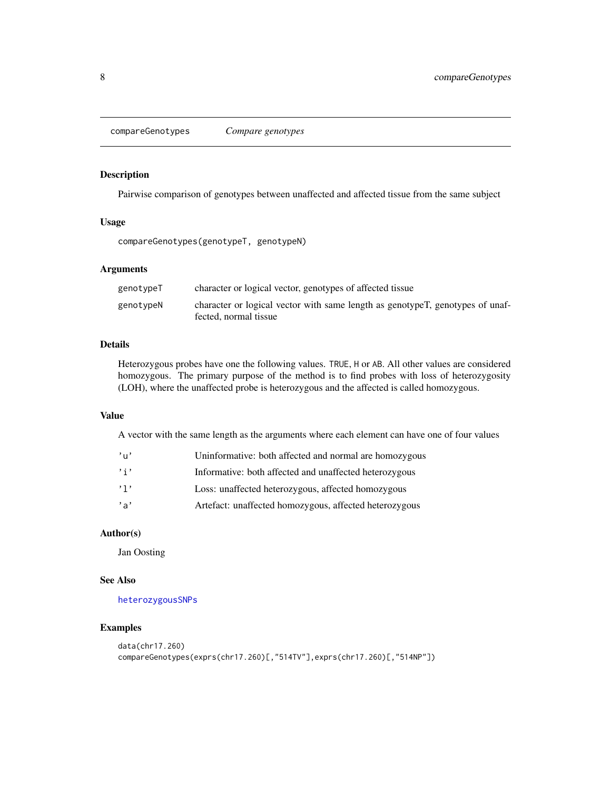<span id="page-7-1"></span><span id="page-7-0"></span>compareGenotypes *Compare genotypes*

### Description

Pairwise comparison of genotypes between unaffected and affected tissue from the same subject

### Usage

compareGenotypes(genotypeT, genotypeN)

### Arguments

| genotypeT | character or logical vector, genotypes of affected tissue                                              |
|-----------|--------------------------------------------------------------------------------------------------------|
| genotypeN | character or logical vector with same length as genotypeT, genotypes of unaf-<br>fected, normal tissue |

#### Details

Heterozygous probes have one the following values. TRUE, H or AB. All other values are considered homozygous. The primary purpose of the method is to find probes with loss of heterozygosity (LOH), where the unaffected probe is heterozygous and the affected is called homozygous.

### Value

A vector with the same length as the arguments where each element can have one of four values

| $^{\prime}$ u' | Uninformative: both affected and normal are homozygous |
|----------------|--------------------------------------------------------|
| , i, j         | Informative: both affected and unaffected heterozygous |
| , 1,           | Loss: unaffected heterozygous, affected homozygous     |
| $^{\prime}$ a' | Artefact: unaffected homozygous, affected heterozygous |

### Author(s)

Jan Oosting

#### See Also

[heterozygousSNPs](#page-15-1)

### Examples

```
data(chr17.260)
compareGenotypes(exprs(chr17.260)[,"514TV"],exprs(chr17.260)[,"514NP"])
```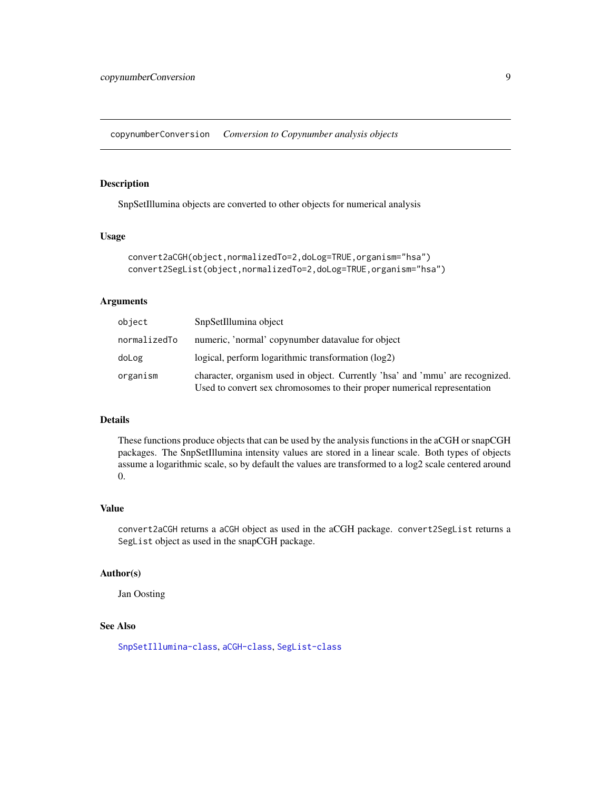<span id="page-8-0"></span>copynumberConversion *Conversion to Copynumber analysis objects*

### Description

SnpSetIllumina objects are converted to other objects for numerical analysis

#### Usage

```
convert2aCGH(object,normalizedTo=2,doLog=TRUE,organism="hsa")
convert2SegList(object,normalizedTo=2,doLog=TRUE,organism="hsa")
```
#### Arguments

| object       | SnpSetIllumina object                                                                                                                                     |
|--------------|-----------------------------------------------------------------------------------------------------------------------------------------------------------|
| normalizedTo | numeric, 'normal' copynumber datavalue for object                                                                                                         |
| doLog        | $logical, perform logarithmic transformation (log2)$                                                                                                      |
| organism     | character, organism used in object. Currently 'hsa' and 'mmu' are recognized.<br>Used to convert sex chromosomes to their proper numerical representation |

### Details

These functions produce objects that can be used by the analysis functions in the aCGH or snapCGH packages. The SnpSetIllumina intensity values are stored in a linear scale. Both types of objects assume a logarithmic scale, so by default the values are transformed to a log2 scale centered around 0.

#### Value

convert2aCGH returns a aCGH object as used in the aCGH package. convert2SegList returns a SegList object as used in the snapCGH package.

#### Author(s)

Jan Oosting

### See Also

[SnpSetIllumina-class](#page-36-1), [aCGH-class](#page-0-0), [SegList-class](#page-0-0)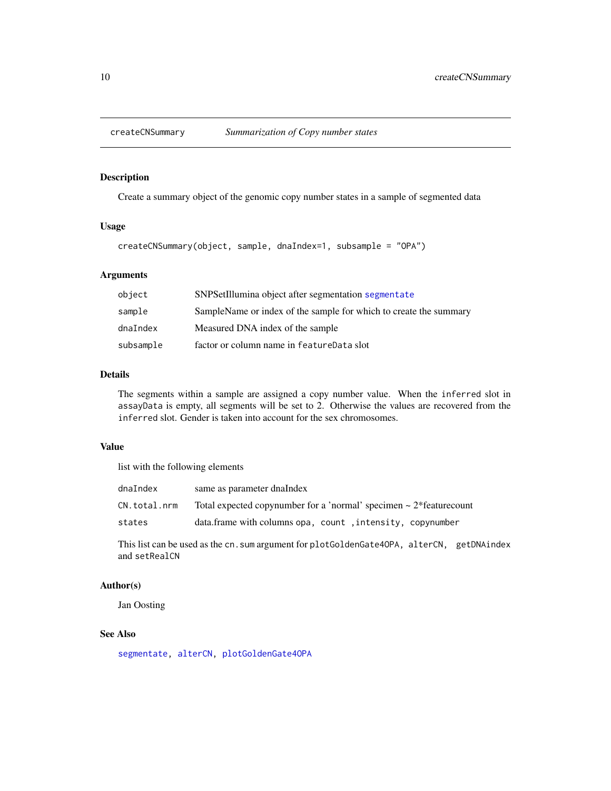<span id="page-9-1"></span><span id="page-9-0"></span>

#### Description

Create a summary object of the genomic copy number states in a sample of segmented data

### Usage

```
createCNSummary(object, sample, dnaIndex=1, subsample = "OPA")
```
### Arguments

| object    | SNPSetIllumina object after segmentation segmentate               |
|-----------|-------------------------------------------------------------------|
| sample    | SampleName or index of the sample for which to create the summary |
| dnaIndex  | Measured DNA index of the sample                                  |
| subsample | factor or column name in featureData slot                         |

#### Details

The segments within a sample are assigned a copy number value. When the inferred slot in assayData is empty, all segments will be set to 2. Otherwise the values are recovered from the inferred slot. Gender is taken into account for the sex chromosomes.

#### Value

list with the following elements

| dnaIndex     | same as parameter dnaIndex                                                |
|--------------|---------------------------------------------------------------------------|
| CN.total.nrm | Total expected copynumber for a 'normal' specimen $\sim 2*$ feature count |
| states       | data.frame with columns opa, count, intensity, copynumber                 |

This list can be used as the cn. sum argument for plotGoldenGate4OPA, alterCN, getDNAindex and setRealCN

#### Author(s)

Jan Oosting

#### See Also

[segmentate,](#page-34-1) [alterCN,](#page-1-1) [plotGoldenGate4OPA](#page-24-1)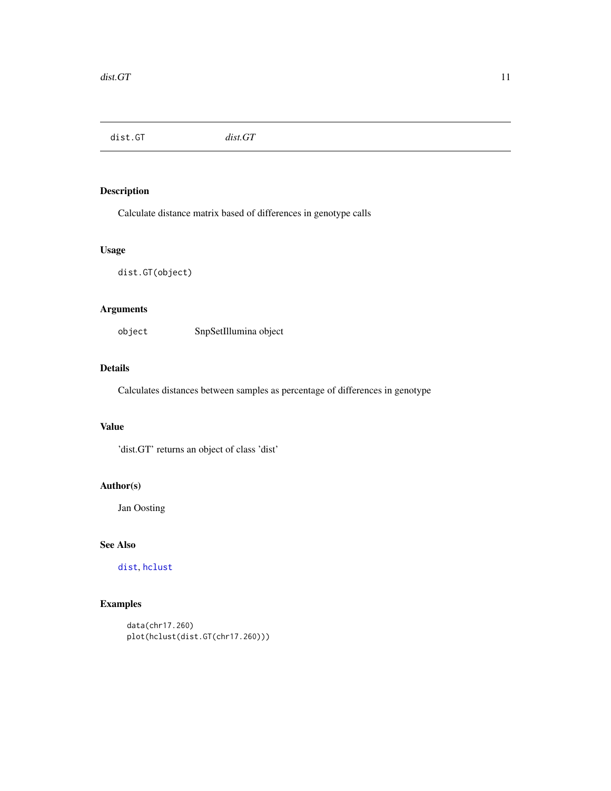<span id="page-10-0"></span>dist.GT *dist.GT*

### Description

Calculate distance matrix based of differences in genotype calls

#### Usage

dist.GT(object)

### Arguments

object SnpSetIllumina object

### Details

Calculates distances between samples as percentage of differences in genotype

### Value

'dist.GT' returns an object of class 'dist'

### Author(s)

Jan Oosting

### See Also

[dist](#page-0-0), [hclust](#page-0-0)

### Examples

```
data(chr17.260)
plot(hclust(dist.GT(chr17.260)))
```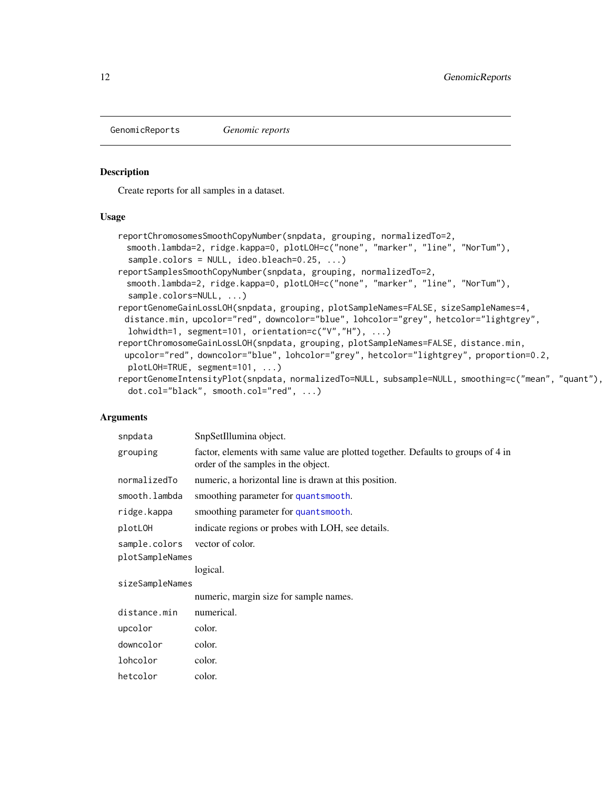<span id="page-11-0"></span>GenomicReports *Genomic reports*

#### <span id="page-11-1"></span>Description

Create reports for all samples in a dataset.

#### Usage

```
reportChromosomesSmoothCopyNumber(snpdata, grouping, normalizedTo=2,
 smooth.lambda=2, ridge.kappa=0, plotLOH=c("none", "marker", "line", "NorTum"),
  sample.colors = NULL, ideo.bleach=0.25, ...)
reportSamplesSmoothCopyNumber(snpdata, grouping, normalizedTo=2,
 smooth.lambda=2, ridge.kappa=0, plotLOH=c("none", "marker", "line", "NorTum"),
  sample.colors=NULL, ...)
reportGenomeGainLossLOH(snpdata, grouping, plotSampleNames=FALSE, sizeSampleNames=4,
 distance.min, upcolor="red", downcolor="blue", lohcolor="grey", hetcolor="lightgrey",
  lohwidth=1, segment=101, orientation=c("V","H"), ...)
reportChromosomeGainLossLOH(snpdata, grouping, plotSampleNames=FALSE, distance.min,
 upcolor="red", downcolor="blue", lohcolor="grey", hetcolor="lightgrey", proportion=0.2,
 plotLOH=TRUE, segment=101, ...)
reportGenomeIntensityPlot(snpdata, normalizedTo=NULL, subsample=NULL, smoothing=c("mean", "quant"),
  dot.col="black", smooth.col="red", ...)
```
### Arguments

| snpdata         | SnpSetIllumina object.                                                                                                   |
|-----------------|--------------------------------------------------------------------------------------------------------------------------|
| grouping        | factor, elements with same value are plotted together. Defaults to groups of 4 in<br>order of the samples in the object. |
| normalizedTo    | numeric, a horizontal line is drawn at this position.                                                                    |
| smooth.lambda   | smoothing parameter for quantsmooth.                                                                                     |
| ridge.kappa     | smoothing parameter for quantsmooth.                                                                                     |
| plotLOH         | indicate regions or probes with LOH, see details.                                                                        |
| sample.colors   | vector of color.                                                                                                         |
| plotSampleNames |                                                                                                                          |
|                 | logical.                                                                                                                 |
| sizeSampleNames |                                                                                                                          |
|                 | numeric, margin size for sample names.                                                                                   |
| distance.min    | numerical.                                                                                                               |
| upcolor         | color.                                                                                                                   |
| downcolor       | color.                                                                                                                   |
| lohcolor        | color.                                                                                                                   |
| hetcolor        | color.                                                                                                                   |
|                 |                                                                                                                          |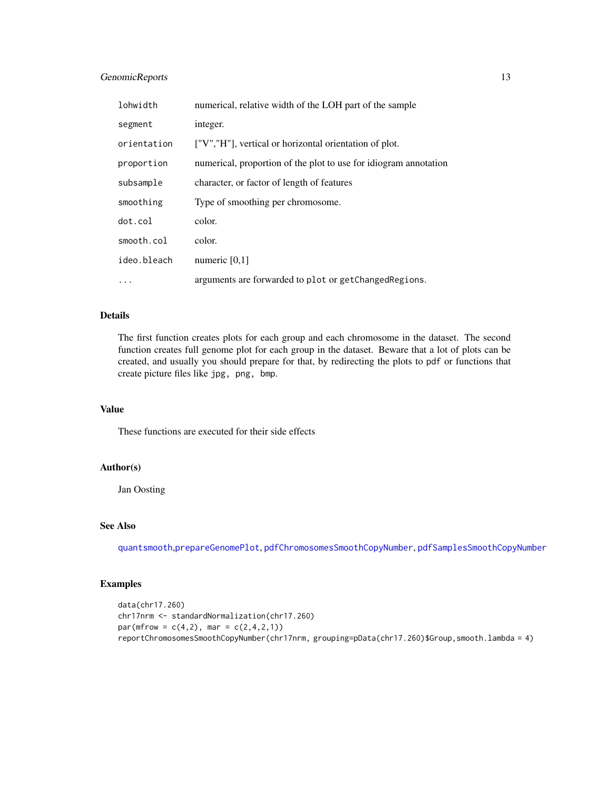### GenomicReports 13

| lohwidth    | numerical, relative width of the LOH part of the sample          |
|-------------|------------------------------------------------------------------|
| segment     | integer.                                                         |
| orientation | ["V","H"], vertical or horizontal orientation of plot.           |
| proportion  | numerical, proportion of the plot to use for idiogram annotation |
| subsample   | character, or factor of length of features                       |
| smoothing   | Type of smoothing per chromosome.                                |
| dot.col     | color.                                                           |
| smooth.col  | color.                                                           |
| ideo.bleach | numeric $[0,1]$                                                  |
| $\cdots$    | arguments are forwarded to plot or getChangedRegions.            |

### Details

The first function creates plots for each group and each chromosome in the dataset. The second function creates full genome plot for each group in the dataset. Beware that a lot of plots can be created, and usually you should prepare for that, by redirecting the plots to pdf or functions that create picture files like jpg, png, bmp.

#### Value

These functions are executed for their side effects

### Author(s)

Jan Oosting

### See Also

[quantsmooth](#page-0-0),[prepareGenomePlot](#page-0-0), [pdfChromosomesSmoothCopyNumber](#page-22-1), [pdfSamplesSmoothCopyNumber](#page-22-2)

### Examples

```
data(chr17.260)
chr17nrm <- standardNormalization(chr17.260)
par(mfrow = c(4,2), mar = c(2,4,2,1))reportChromosomesSmoothCopyNumber(chr17nrm, grouping=pData(chr17.260)$Group,smooth.lambda = 4)
```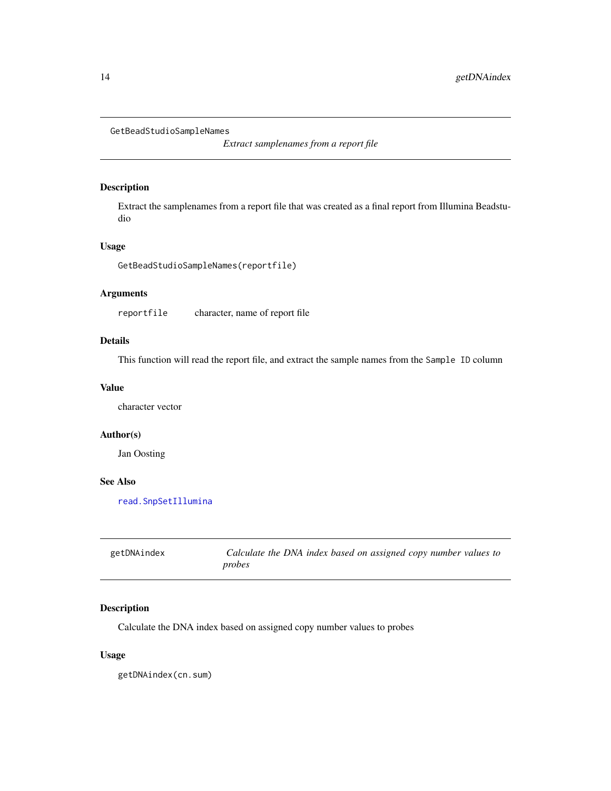```
GetBeadStudioSampleNames
```
*Extract samplenames from a report file*

### Description

Extract the samplenames from a report file that was created as a final report from Illumina Beadstudio

### Usage

GetBeadStudioSampleNames(reportfile)

### Arguments

reportfile character, name of report file

### Details

This function will read the report file, and extract the sample names from the Sample ID column

#### Value

character vector

#### Author(s)

Jan Oosting

#### See Also

[read.SnpSetIllumina](#page-28-1)

| getDNAindex | Calculate the DNA index based on assigned copy number values to |
|-------------|-----------------------------------------------------------------|
|             | probes                                                          |

### Description

Calculate the DNA index based on assigned copy number values to probes

### Usage

getDNAindex(cn.sum)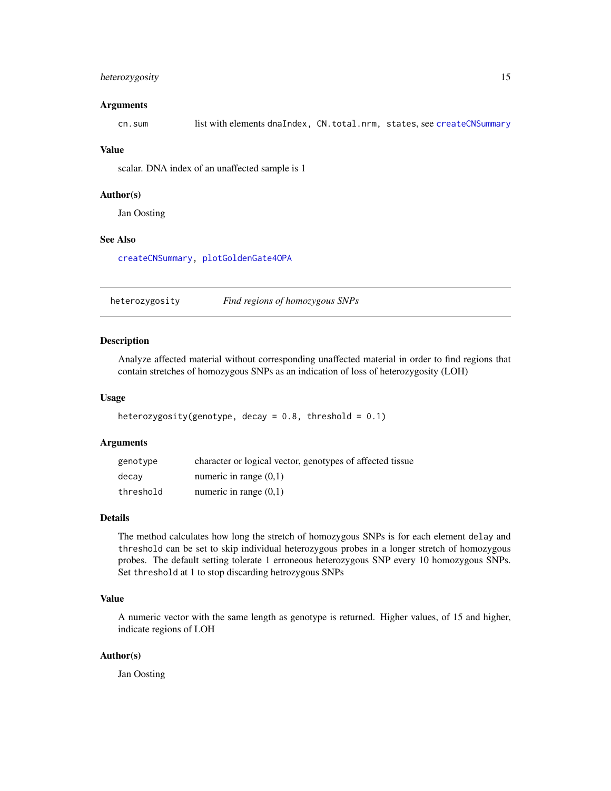### <span id="page-14-0"></span>heterozygosity 15

#### Arguments

cn.sum list with elements dnaIndex, CN.total.nrm, states, see [createCNSummary](#page-9-1)

#### Value

scalar. DNA index of an unaffected sample is 1

#### Author(s)

Jan Oosting

### See Also

[createCNSummary,](#page-9-1) [plotGoldenGate4OPA](#page-24-1)

heterozygosity *Find regions of homozygous SNPs*

### Description

Analyze affected material without corresponding unaffected material in order to find regions that contain stretches of homozygous SNPs as an indication of loss of heterozygosity (LOH)

#### Usage

```
heterozygosity(genotype, decay = 0.8, threshold = 0.1)
```
#### Arguments

| genotype  | character or logical vector, genotypes of affected tissue |
|-----------|-----------------------------------------------------------|
| decay     | numeric in range $(0,1)$                                  |
| threshold | numeric in range $(0,1)$                                  |

#### Details

The method calculates how long the stretch of homozygous SNPs is for each element delay and threshold can be set to skip individual heterozygous probes in a longer stretch of homozygous probes. The default setting tolerate 1 erroneous heterozygous SNP every 10 homozygous SNPs. Set threshold at 1 to stop discarding hetrozygous SNPs

### Value

A numeric vector with the same length as genotype is returned. Higher values, of 15 and higher, indicate regions of LOH

#### Author(s)

Jan Oosting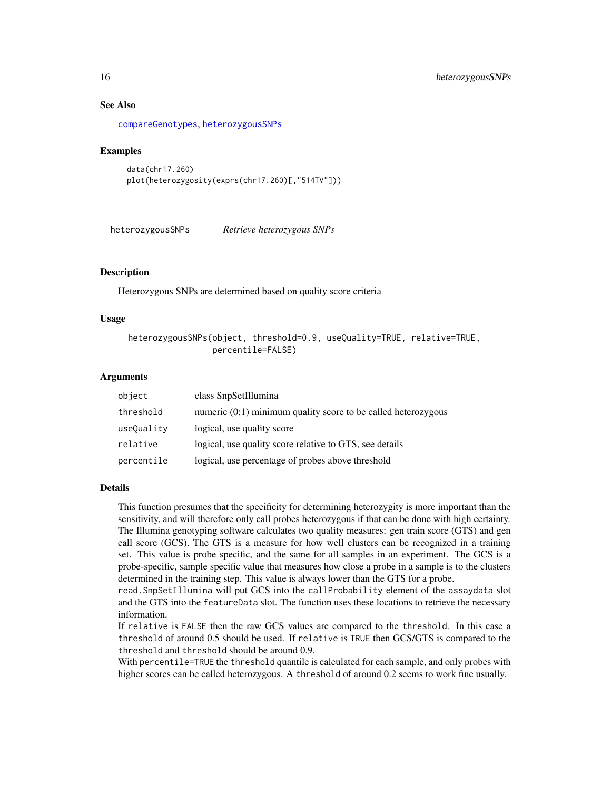### See Also

[compareGenotypes](#page-7-1), [heterozygousSNPs](#page-15-1)

#### Examples

```
data(chr17.260)
plot(heterozygosity(exprs(chr17.260)[,"514TV"]))
```
<span id="page-15-1"></span>heterozygousSNPs *Retrieve heterozygous SNPs*

#### Description

Heterozygous SNPs are determined based on quality score criteria

#### Usage

```
heterozygousSNPs(object, threshold=0.9, useQuality=TRUE, relative=TRUE,
                percentile=FALSE)
```
#### Arguments

| object     | class SnpSetIllumina                                            |
|------------|-----------------------------------------------------------------|
| threshold  | numeric $(0:1)$ minimum quality score to be called heterozygous |
| useQuality | logical, use quality score                                      |
| relative   | logical, use quality score relative to GTS, see details         |
| percentile | logical, use percentage of probes above threshold               |

#### Details

This function presumes that the specificity for determining heterozygity is more important than the sensitivity, and will therefore only call probes heterozygous if that can be done with high certainty. The Illumina genotyping software calculates two quality measures: gen train score (GTS) and gen call score (GCS). The GTS is a measure for how well clusters can be recognized in a training set. This value is probe specific, and the same for all samples in an experiment. The GCS is a probe-specific, sample specific value that measures how close a probe in a sample is to the clusters determined in the training step. This value is always lower than the GTS for a probe.

read.SnpSetIllumina will put GCS into the callProbability element of the assaydata slot and the GTS into the featureData slot. The function uses these locations to retrieve the necessary information.

If relative is FALSE then the raw GCS values are compared to the threshold. In this case a threshold of around 0.5 should be used. If relative is TRUE then GCS/GTS is compared to the threshold and threshold should be around 0.9.

With percentile=TRUE the threshold quantile is calculated for each sample, and only probes with higher scores can be called heterozygous. A threshold of around 0.2 seems to work fine usually.

<span id="page-15-0"></span>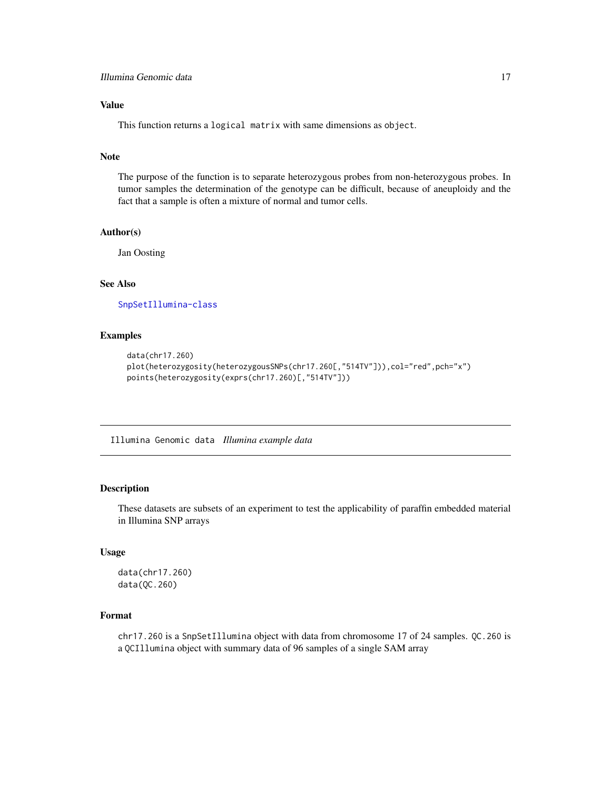### <span id="page-16-0"></span>Value

This function returns a logical matrix with same dimensions as object.

#### Note

The purpose of the function is to separate heterozygous probes from non-heterozygous probes. In tumor samples the determination of the genotype can be difficult, because of aneuploidy and the fact that a sample is often a mixture of normal and tumor cells.

#### Author(s)

Jan Oosting

#### See Also

[SnpSetIllumina-class](#page-36-1)

### Examples

```
data(chr17.260)
plot(heterozygosity(heterozygousSNPs(chr17.260[,"514TV"])),col="red",pch="x")
points(heterozygosity(exprs(chr17.260)[,"514TV"]))
```
Illumina Genomic data *Illumina example data*

### Description

These datasets are subsets of an experiment to test the applicability of paraffin embedded material in Illumina SNP arrays

#### Usage

```
data(chr17.260)
data(QC.260)
```
### Format

chr17.260 is a SnpSetIllumina object with data from chromosome 17 of 24 samples. QC.260 is a QCIllumina object with summary data of 96 samples of a single SAM array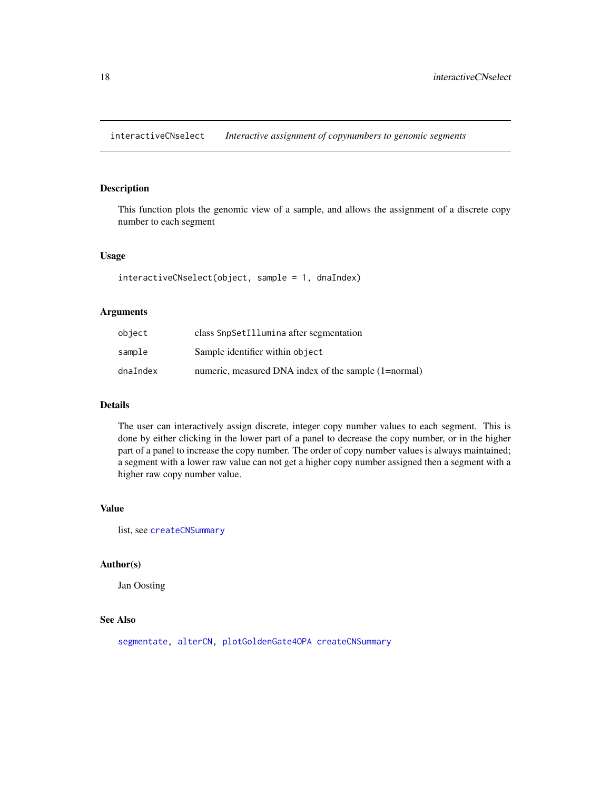<span id="page-17-1"></span><span id="page-17-0"></span>interactiveCNselect *Interactive assignment of copynumbers to genomic segments*

#### Description

This function plots the genomic view of a sample, and allows the assignment of a discrete copy number to each segment

#### Usage

interactiveCNselect(object, sample = 1, dnaIndex)

#### Arguments

| object   | class SnpSetIllumina after segmentation              |
|----------|------------------------------------------------------|
| sample   | Sample identifier within object                      |
| dnaIndex | numeric, measured DNA index of the sample (1=normal) |

### Details

The user can interactively assign discrete, integer copy number values to each segment. This is done by either clicking in the lower part of a panel to decrease the copy number, or in the higher part of a panel to increase the copy number. The order of copy number values is always maintained; a segment with a lower raw value can not get a higher copy number assigned then a segment with a higher raw copy number value.

#### Value

list, see [createCNSummary](#page-9-1)

#### Author(s)

Jan Oosting

### See Also

[segmentate,](#page-34-1) [alterCN,](#page-1-1) [plotGoldenGate4OPA](#page-24-1) [createCNSummary](#page-9-1)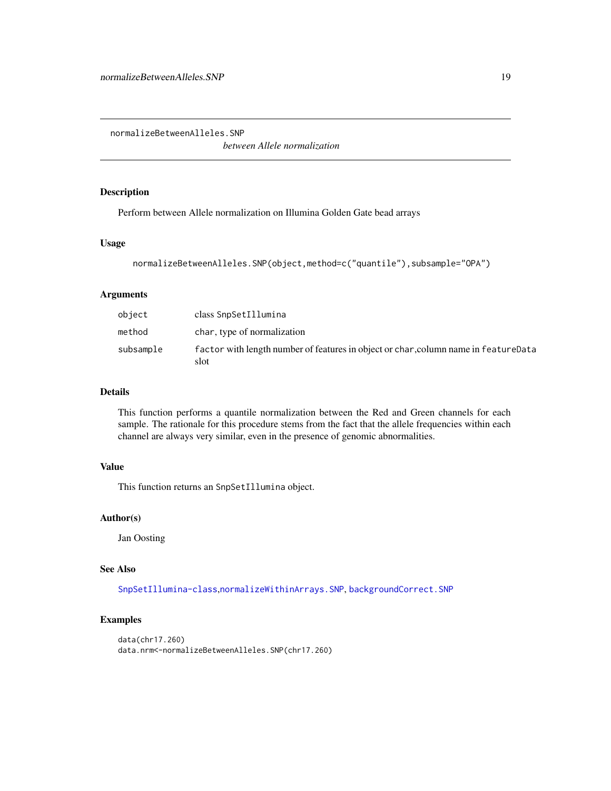<span id="page-18-1"></span><span id="page-18-0"></span>normalizeBetweenAlleles.SNP

*between Allele normalization*

### Description

Perform between Allele normalization on Illumina Golden Gate bead arrays

### Usage

```
normalizeBetweenAlleles.SNP(object,method=c("quantile"),subsample="OPA")
```
### Arguments

| object    | class SnpSetIllumina                                                                        |
|-----------|---------------------------------------------------------------------------------------------|
| method    | char, type of normalization                                                                 |
| subsample | factor with length number of features in object or char, column name in featureData<br>slot |

### Details

This function performs a quantile normalization between the Red and Green channels for each sample. The rationale for this procedure stems from the fact that the allele frequencies within each channel are always very similar, even in the presence of genomic abnormalities.

### Value

This function returns an SnpSetIllumina object.

#### Author(s)

Jan Oosting

#### See Also

[SnpSetIllumina-class](#page-36-1),[normalizeWithinArrays.SNP](#page-21-1), [backgroundCorrect.SNP](#page-2-1)

### Examples

```
data(chr17.260)
data.nrm<-normalizeBetweenAlleles.SNP(chr17.260)
```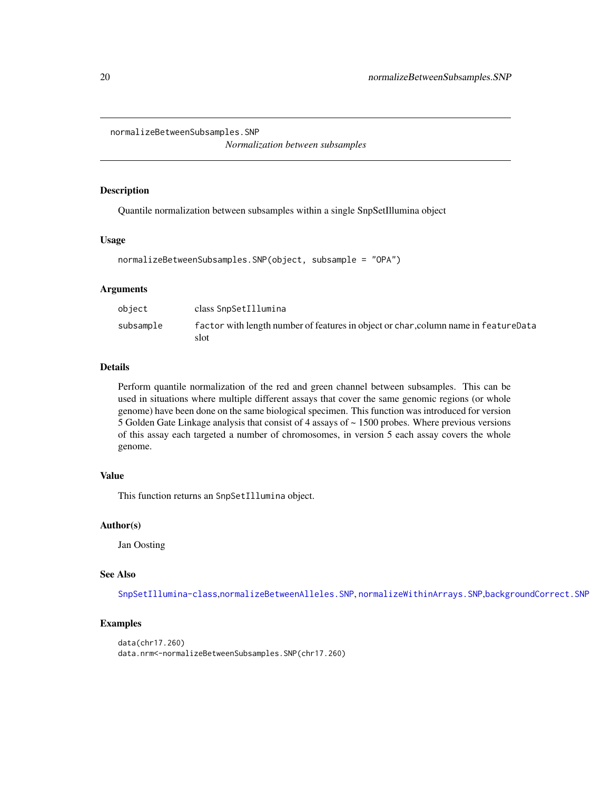<span id="page-19-0"></span>normalizeBetweenSubsamples.SNP

*Normalization between subsamples*

#### Description

Quantile normalization between subsamples within a single SnpSetIllumina object

#### Usage

```
normalizeBetweenSubsamples.SNP(object, subsample = "OPA")
```
#### Arguments

| object    | class SnpSetIllumina                                                                        |
|-----------|---------------------------------------------------------------------------------------------|
| subsample | factor with length number of features in object or char, column name in featureData<br>slot |

### Details

Perform quantile normalization of the red and green channel between subsamples. This can be used in situations where multiple different assays that cover the same genomic regions (or whole genome) have been done on the same biological specimen. This function was introduced for version 5 Golden Gate Linkage analysis that consist of 4 assays of ~ 1500 probes. Where previous versions of this assay each targeted a number of chromosomes, in version 5 each assay covers the whole genome.

#### Value

This function returns an SnpSetIllumina object.

### Author(s)

Jan Oosting

#### See Also

[SnpSetIllumina-class](#page-36-1),[normalizeBetweenAlleles.SNP](#page-18-1), [normalizeWithinArrays.SNP](#page-21-1),[backgroundCorrect.SNP](#page-2-1)

### Examples

```
data(chr17.260)
data.nrm<-normalizeBetweenSubsamples.SNP(chr17.260)
```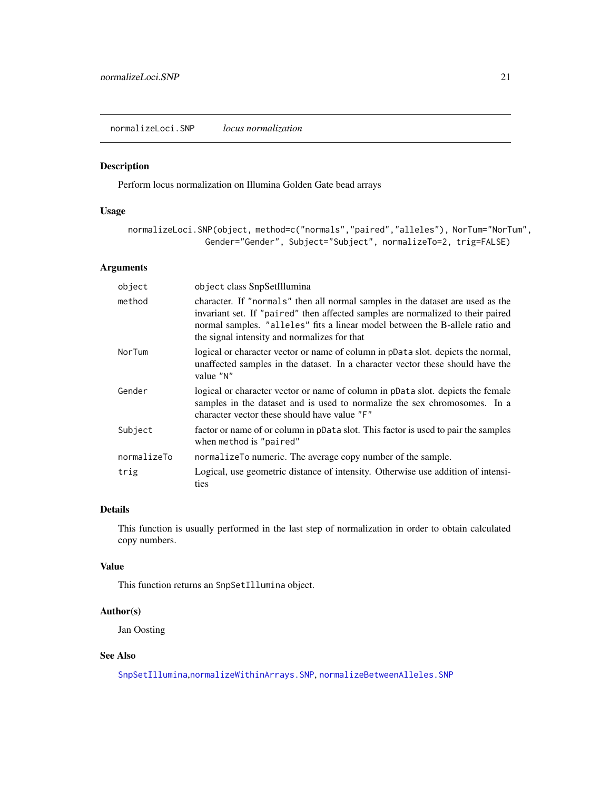<span id="page-20-1"></span><span id="page-20-0"></span>normalizeLoci.SNP *locus normalization*

#### Description

Perform locus normalization on Illumina Golden Gate bead arrays

#### Usage

normalizeLoci.SNP(object, method=c("normals","paired","alleles"), NorTum="NorTum", Gender="Gender", Subject="Subject", normalizeTo=2, trig=FALSE)

### Arguments

| object      | object class SnpSetIllumina                                                                                                                                                                                                                                                                       |
|-------------|---------------------------------------------------------------------------------------------------------------------------------------------------------------------------------------------------------------------------------------------------------------------------------------------------|
| method      | character. If "normals" then all normal samples in the dataset are used as the<br>invariant set. If "paired" then affected samples are normalized to their paired<br>normal samples. "alleles" fits a linear model between the B-allele ratio and<br>the signal intensity and normalizes for that |
| NorTum      | logical or character vector or name of column in pData slot. depicts the normal,<br>unaffected samples in the dataset. In a character vector these should have the<br>value "N"                                                                                                                   |
| Gender      | logical or character vector or name of column in pData slot. depicts the female<br>samples in the dataset and is used to normalize the sex chromosomes. In a<br>character vector these should have value "F"                                                                                      |
| Subject     | factor or name of or column in pData slot. This factor is used to pair the samples<br>when method is "paired"                                                                                                                                                                                     |
| normalizeTo | normalizeTo numeric. The average copy number of the sample.                                                                                                                                                                                                                                       |
| trig        | Logical, use geometric distance of intensity. Otherwise use addition of intensi-<br>ties                                                                                                                                                                                                          |

### Details

This function is usually performed in the last step of normalization in order to obtain calculated copy numbers.

### Value

This function returns an SnpSetIllumina object.

### Author(s)

Jan Oosting

#### See Also

[SnpSetIllumina](#page-36-2),[normalizeWithinArrays.SNP](#page-21-1), [normalizeBetweenAlleles.SNP](#page-18-1)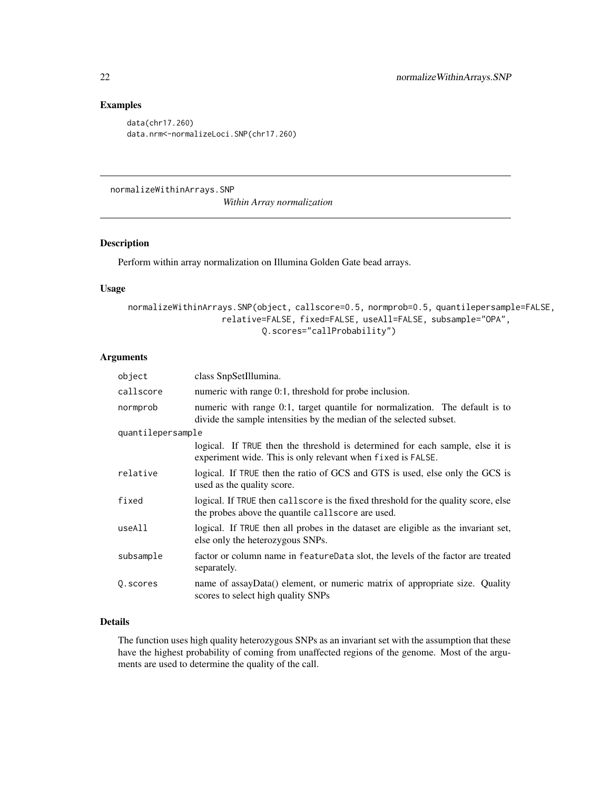### Examples

data(chr17.260) data.nrm<-normalizeLoci.SNP(chr17.260)

<span id="page-21-1"></span>normalizeWithinArrays.SNP

*Within Array normalization*

#### Description

Perform within array normalization on Illumina Golden Gate bead arrays.

#### Usage

```
normalizeWithinArrays.SNP(object, callscore=0.5, normprob=0.5, quantilepersample=FALSE,
                   relative=FALSE, fixed=FALSE, useAll=FALSE, subsample="OPA",
                           Q.scores="callProbability")
```
### Arguments

| object            | class SnpSetIllumina.                                                                                                                               |  |
|-------------------|-----------------------------------------------------------------------------------------------------------------------------------------------------|--|
| callscore         | numeric with range 0:1, threshold for probe inclusion.                                                                                              |  |
| normprob          | numeric with range 0:1, target quantile for normalization. The default is to<br>divide the sample intensities by the median of the selected subset. |  |
| quantilepersample |                                                                                                                                                     |  |
|                   | logical. If TRUE then the threshold is determined for each sample, else it is<br>experiment wide. This is only relevant when fixed is FALSE.        |  |
| relative          | logical. If TRUE then the ratio of GCS and GTS is used, else only the GCS is<br>used as the quality score.                                          |  |
| fixed             | logical. If TRUE then callscore is the fixed threshold for the quality score, else<br>the probes above the quantile callscore are used.             |  |
| useAll            | logical. If TRUE then all probes in the dataset are eligible as the invariant set,<br>else only the heterozygous SNPs.                              |  |
| subsample         | factor or column name in feature Data slot, the levels of the factor are treated<br>separately.                                                     |  |
| Q. scores         | name of assayData() element, or numeric matrix of appropriate size. Quality<br>scores to select high quality SNPs                                   |  |

### Details

The function uses high quality heterozygous SNPs as an invariant set with the assumption that these have the highest probability of coming from unaffected regions of the genome. Most of the arguments are used to determine the quality of the call.

<span id="page-21-0"></span>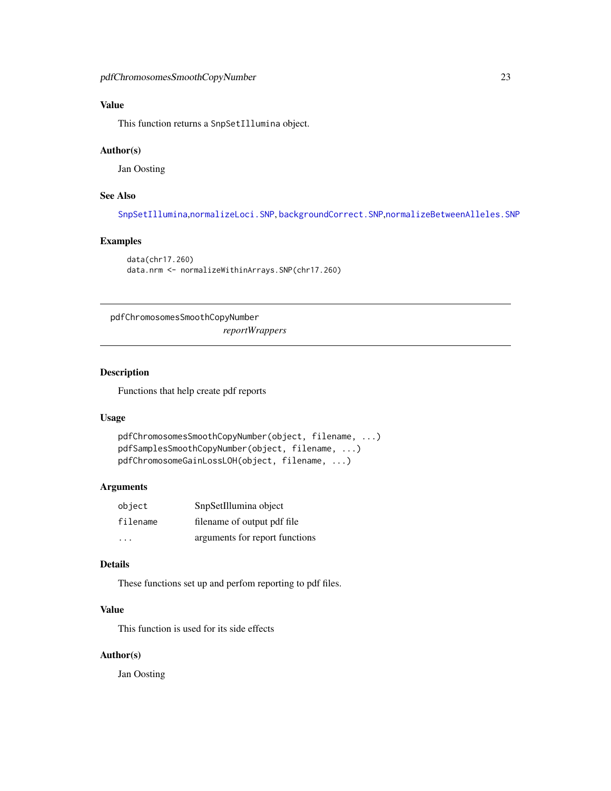### <span id="page-22-0"></span>Value

This function returns a SnpSetIllumina object.

#### Author(s)

Jan Oosting

### See Also

[SnpSetIllumina](#page-36-2),[normalizeLoci.SNP](#page-20-1), [backgroundCorrect.SNP](#page-2-1),[normalizeBetweenAlleles.SNP](#page-18-1)

### Examples

```
data(chr17.260)
data.nrm <- normalizeWithinArrays.SNP(chr17.260)
```
<span id="page-22-1"></span>pdfChromosomesSmoothCopyNumber *reportWrappers*

#### <span id="page-22-2"></span>Description

Functions that help create pdf reports

#### Usage

```
pdfChromosomesSmoothCopyNumber(object, filename, ...)
pdfSamplesSmoothCopyNumber(object, filename, ...)
pdfChromosomeGainLossLOH(object, filename, ...)
```
### Arguments

| object   | SnpSetIllumina object          |
|----------|--------------------------------|
| filename | filename of output pdf file    |
|          | arguments for report functions |

#### Details

These functions set up and perfom reporting to pdf files.

### Value

This function is used for its side effects

### Author(s)

Jan Oosting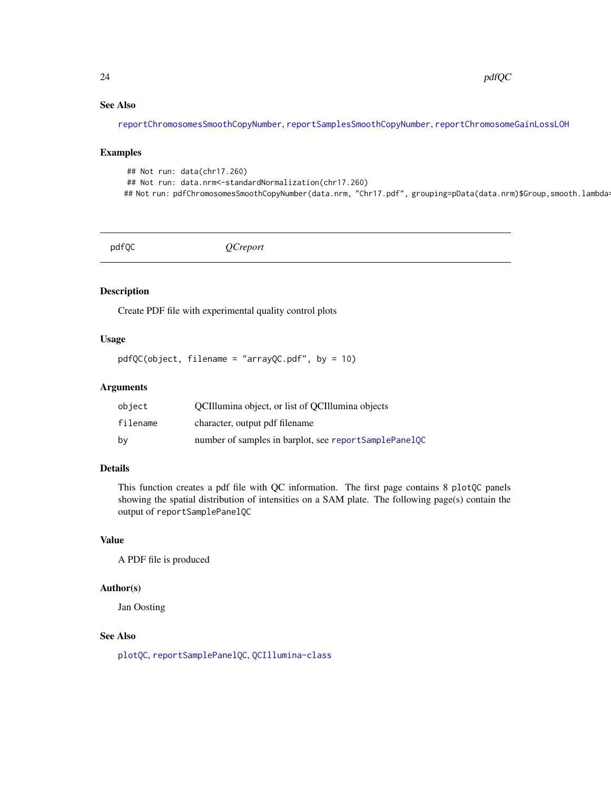### See Also

[reportChromosomesSmoothCopyNumber](#page-11-1), [reportSamplesSmoothCopyNumber](#page-11-1), [reportChromosomeGainLossLOH](#page-11-1)

#### Examples

```
## Not run: data(chr17.260)
## Not run: data.nrm<-standardNormalization(chr17.260)
## Not run: pdfChromosomesSmoothCopyNumber(data.nrm, "Chr17.pdf", grouping=pData(data.nrm)$Group,smooth.lambda
```
<span id="page-23-1"></span>pdfQC *QCreport*

### Description

Create PDF file with experimental quality control plots

#### Usage

pdfQC(object, filename = "arrayQC.pdf", by = 10)

#### Arguments

| object   | OCII lumina object, or list of OCI lumina objects     |
|----------|-------------------------------------------------------|
| filename | character, output pdf filename                        |
| bv       | number of samples in barplot, see reportSamplePanelQC |

### Details

This function creates a pdf file with QC information. The first page contains 8 plotQC panels showing the spatial distribution of intensities on a SAM plate. The following page(s) contain the output of reportSamplePanelQC

### Value

A PDF file is produced

### Author(s)

Jan Oosting

#### See Also

[plotQC](#page-25-1), [reportSamplePanelQC](#page-33-1), [QCIllumina-class](#page-27-2)

<span id="page-23-0"></span>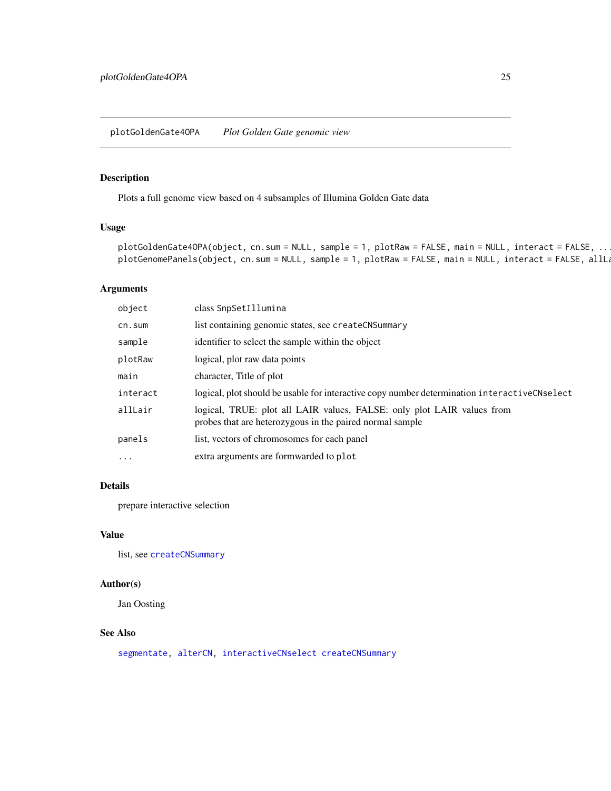<span id="page-24-1"></span><span id="page-24-0"></span>plotGoldenGate4OPA *Plot Golden Gate genomic view*

### Description

Plots a full genome view based on 4 subsamples of Illumina Golden Gate data

#### Usage

```
plotGoldenGate4OPA(object, cn.sum = NULL, sample = 1, plotRaw = FALSE, main = NULL, interact = FALSE, ..
plotGenomePanels(object, cn.sum = NULL, sample = 1, plotRaw = FALSE, main = NULL, interact = FALSE, allLa
```
### Arguments

| object   | class SnpSetIllumina                                                                                                               |
|----------|------------------------------------------------------------------------------------------------------------------------------------|
| cn.sum   | list containing genomic states, see createCNSummary                                                                                |
| sample   | identifier to select the sample within the object                                                                                  |
| plotRaw  | logical, plot raw data points                                                                                                      |
| main     | character, Title of plot                                                                                                           |
| interact | logical, plot should be usable for interactive copy number determination interactiveCNselect                                       |
| allLair  | logical, TRUE: plot all LAIR values, FALSE: only plot LAIR values from<br>probes that are heterozygous in the paired normal sample |
| panels   | list, vectors of chromosomes for each panel                                                                                        |
| .        | extra arguments are formwarded to plot                                                                                             |
|          |                                                                                                                                    |

### Details

prepare interactive selection

### Value

list, see [createCNSummary](#page-9-1)

### Author(s)

Jan Oosting

### See Also

[segmentate,](#page-34-1) [alterCN,](#page-1-1) [interactiveCNselect](#page-17-1) [createCNSummary](#page-9-1)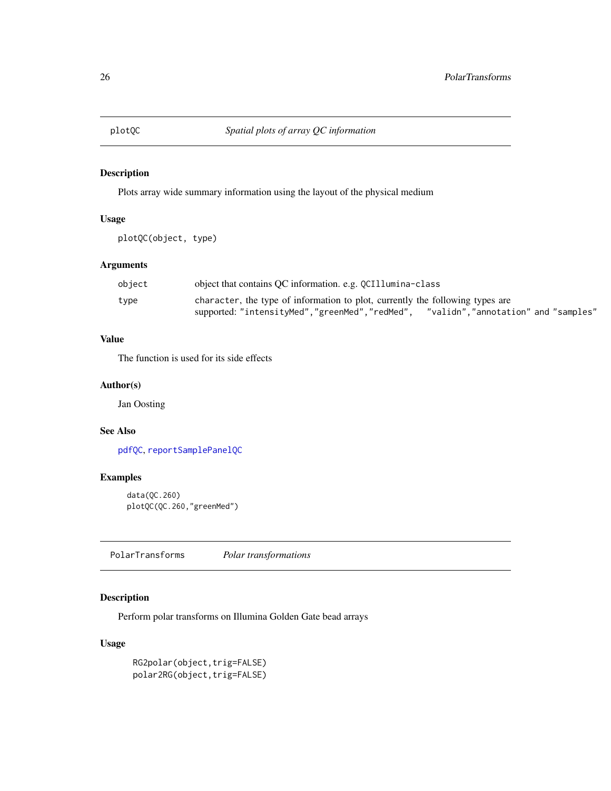<span id="page-25-1"></span><span id="page-25-0"></span>

### Description

Plots array wide summary information using the layout of the physical medium

### Usage

```
plotQC(object, type)
```
### Arguments

| object | object that contains QC information. e.g. QCI11umina-class                            |
|--------|---------------------------------------------------------------------------------------|
| type   | character, the type of information to plot, currently the following types are         |
|        | "validn","annotation" and "samples"<br>supported: "intensityMed","greenMed","redMed", |

### Value

The function is used for its side effects

### Author(s)

Jan Oosting

### See Also

[pdfQC](#page-23-1), [reportSamplePanelQC](#page-33-1)

### Examples

```
data(QC.260)
plotQC(QC.260,"greenMed")
```
PolarTransforms *Polar transformations*

### Description

Perform polar transforms on Illumina Golden Gate bead arrays

### Usage

RG2polar(object,trig=FALSE) polar2RG(object,trig=FALSE)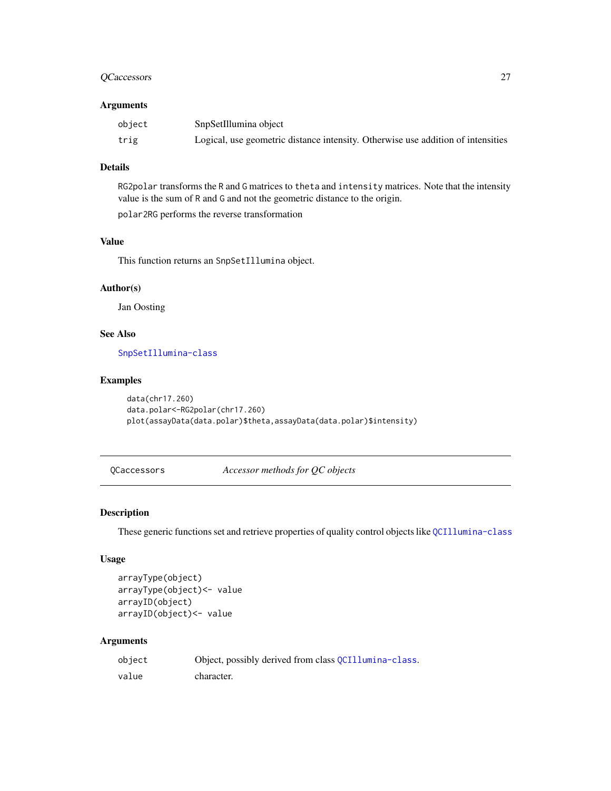### <span id="page-26-0"></span>QCaccessors 27

#### Arguments

| object | SnpSetIllumina object                                                            |
|--------|----------------------------------------------------------------------------------|
| trig   | Logical, use geometric distance intensity. Otherwise use addition of intensities |

### Details

RG2polar transforms the R and G matrices to theta and intensity matrices. Note that the intensity value is the sum of R and G and not the geometric distance to the origin.

polar2RG performs the reverse transformation

### Value

This function returns an SnpSetIllumina object.

### Author(s)

Jan Oosting

### See Also

[SnpSetIllumina-class](#page-36-1)

### Examples

```
data(chr17.260)
data.polar<-RG2polar(chr17.260)
plot(assayData(data.polar)$theta,assayData(data.polar)$intensity)
```
QCaccessors *Accessor methods for QC objects*

### <span id="page-26-1"></span>Description

These generic functions set and retrieve properties of quality control objects like [QCIllumina-class](#page-27-2)

#### Usage

```
arrayType(object)
arrayType(object)<- value
arrayID(object)
arrayID(object)<- value
```
#### Arguments

| object | Object, possibly derived from class QCI11umina-class. |
|--------|-------------------------------------------------------|
| value  | character.                                            |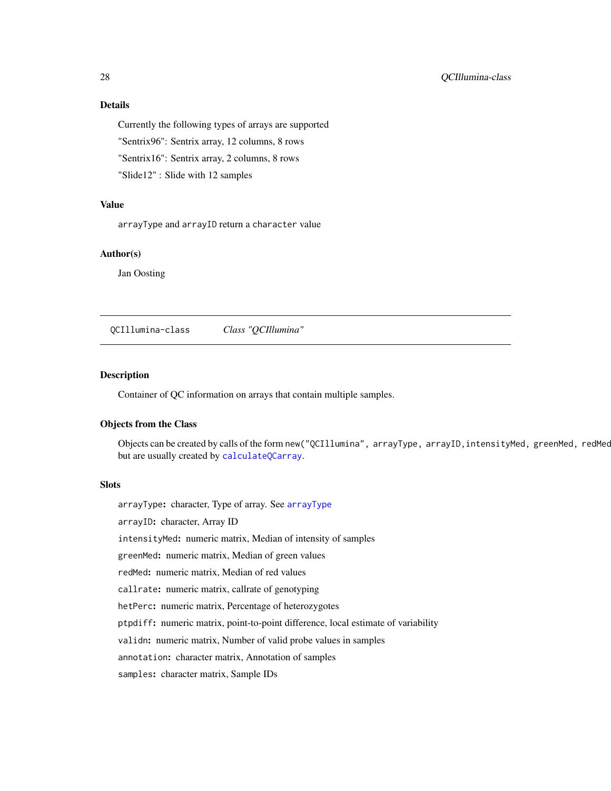### Details

Currently the following types of arrays are supported

"Sentrix96": Sentrix array, 12 columns, 8 rows

"Sentrix16": Sentrix array, 2 columns, 8 rows

"Slide12" : Slide with 12 samples

### Value

arrayType and arrayID return a character value

### Author(s)

Jan Oosting

<span id="page-27-2"></span>QCIllumina-class *Class "QCIllumina"*

### <span id="page-27-1"></span>Description

Container of QC information on arrays that contain multiple samples.

#### Objects from the Class

Objects can be created by calls of the form new("QCIllumina", arrayType, arrayID, intensityMed, greenMed, redMec but are usually created by [calculateQCarray](#page-6-1).

#### **Slots**

arrayType: character, Type of array. See [arrayType](#page-26-1)

arrayID: character, Array ID

intensityMed: numeric matrix, Median of intensity of samples

greenMed: numeric matrix, Median of green values

redMed: numeric matrix, Median of red values

callrate: numeric matrix, callrate of genotyping

hetPerc: numeric matrix, Percentage of heterozygotes

ptpdiff: numeric matrix, point-to-point difference, local estimate of variability

validn: numeric matrix, Number of valid probe values in samples

annotation: character matrix, Annotation of samples

samples: character matrix, Sample IDs

<span id="page-27-0"></span>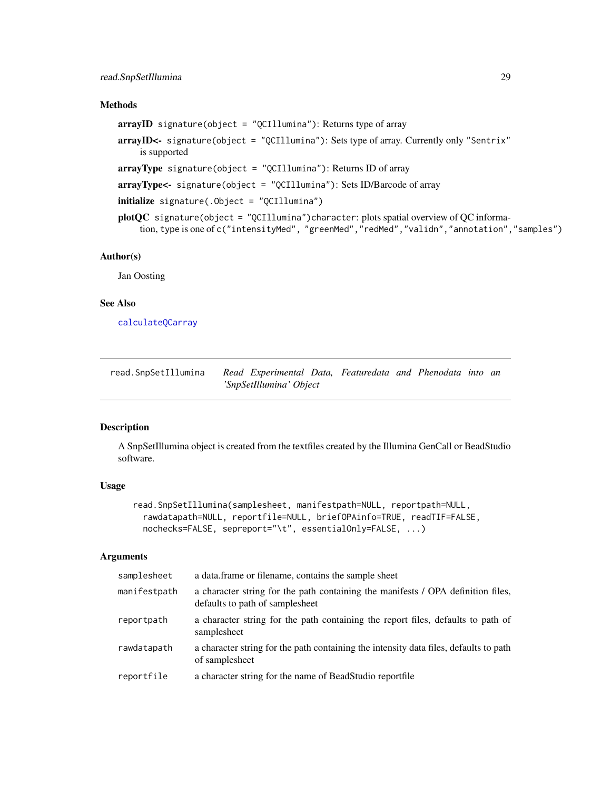### <span id="page-28-0"></span>read.SnpSetIllumina 29

### Methods

```
arrayID signature(object = "QCIllumina"): Returns type of array
arrayID<- signature(object = "QCIllumina"): Sets type of array. Currently only "Sentrix"
    is supported
arrayType signature(object = "QCIllumina"): Returns ID of array
arrayType<- signature(object = "QCIllumina"): Sets ID/Barcode of array
initialize signature(.Object = "QCIllumina")
plotQC signature(object = "QCIllumina")character: plots spatial overview of QC informa-
    tion, type is one of c("intensityMed", "greenMed","redMed","validn","annotation","samples")
```
#### Author(s)

Jan Oosting

### See Also

[calculateQCarray](#page-6-1)

<span id="page-28-1"></span>

| read.SnpSetIllumina | Read Experimental Data, Featuredata and Phenodata into an |  |  |  |
|---------------------|-----------------------------------------------------------|--|--|--|
|                     | 'SnpSetIllumina' Object                                   |  |  |  |

#### Description

A SnpSetIllumina object is created from the textfiles created by the Illumina GenCall or BeadStudio software.

#### Usage

```
read.SnpSetIllumina(samplesheet, manifestpath=NULL, reportpath=NULL,
 rawdatapath=NULL, reportfile=NULL, briefOPAinfo=TRUE, readTIF=FALSE,
 nochecks=FALSE, sepreport="\t", essentialOnly=FALSE, ...)
```
#### Arguments

| samplesheet  | a data frame or filename, contains the sample sheet                                                                 |
|--------------|---------------------------------------------------------------------------------------------------------------------|
| manifestpath | a character string for the path containing the manifests / OPA definition files,<br>defaults to path of samplesheet |
| reportpath   | a character string for the path containing the report files, defaults to path of<br>samplesheet                     |
| rawdatapath  | a character string for the path containing the intensity data files, defaults to path<br>of samplesheet             |
| reportfile   | a character string for the name of BeadStudio reportfile                                                            |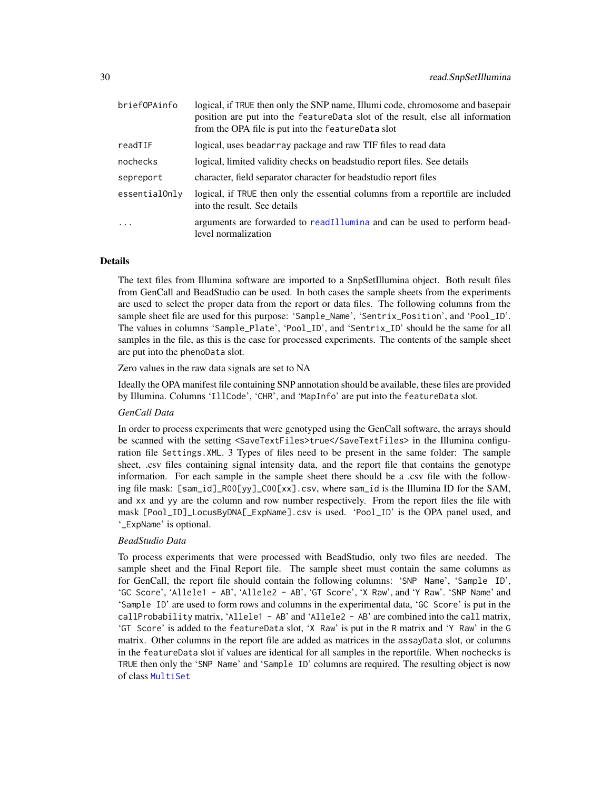| briefOPAinfo  | logical, if TRUE then only the SNP name, Illumi code, chromosome and basepair<br>position are put into the feature Data slot of the result, else all information<br>from the OPA file is put into the feature Data slot |
|---------------|-------------------------------------------------------------------------------------------------------------------------------------------------------------------------------------------------------------------------|
| readTIF       | logical, uses beadarray package and raw TIF files to read data                                                                                                                                                          |
| nochecks      | logical, limited validity checks on beadstudio report files. See details                                                                                                                                                |
| sepreport     | character, field separator character for beadstudio report files                                                                                                                                                        |
| essentialOnly | logical, if TRUE then only the essential columns from a reportfile are included<br>into the result. See details                                                                                                         |
| $\ddots$ .    | arguments are forwarded to readIllumina and can be used to perform bead-<br>level normalization                                                                                                                         |

#### Details

The text files from Illumina software are imported to a SnpSetIllumina object. Both result files from GenCall and BeadStudio can be used. In both cases the sample sheets from the experiments are used to select the proper data from the report or data files. The following columns from the sample sheet file are used for this purpose: 'Sample\_Name', 'Sentrix\_Position', and 'Pool\_ID'. The values in columns 'Sample\_Plate', 'Pool\_ID', and 'Sentrix\_ID' should be the same for all samples in the file, as this is the case for processed experiments. The contents of the sample sheet are put into the phenoData slot.

Zero values in the raw data signals are set to NA

Ideally the OPA manifest file containing SNP annotation should be available, these files are provided by Illumina. Columns 'IllCode', 'CHR', and 'MapInfo' are put into the featureData slot.

#### *GenCall Data*

In order to process experiments that were genotyped using the GenCall software, the arrays should be scanned with the setting <SaveTextFiles>true</SaveTextFiles> in the Illumina configuration file Settings.XML. 3 Types of files need to be present in the same folder: The sample sheet, .csv files containing signal intensity data, and the report file that contains the genotype information. For each sample in the sample sheet there should be a .csv file with the following file mask: [sam\_id]\_R00[yy]\_C00[xx].csv, where sam\_id is the Illumina ID for the SAM, and xx and yy are the column and row number respectively. From the report files the file with mask [Pool\_ID]\_LocusByDNA[\_ExpName].csv is used. 'Pool\_ID' is the OPA panel used, and '\_ExpName' is optional.

#### *BeadStudio Data*

To process experiments that were processed with BeadStudio, only two files are needed. The sample sheet and the Final Report file. The sample sheet must contain the same columns as for GenCall, the report file should contain the following columns: 'SNP Name', 'Sample ID', 'GC Score', 'Allele1 - AB', 'Allele2 - AB', 'GT Score', 'X Raw', and 'Y Raw'. 'SNP Name' and 'Sample ID' are used to form rows and columns in the experimental data, 'GC Score' is put in the callProbability matrix, 'Allele1 - AB' and 'Allele2 - AB' are combined into the call matrix, 'GT Score' is added to the featureData slot, 'X Raw' is put in the R matrix and 'Y Raw' in the G matrix. Other columns in the report file are added as matrices in the assayData slot, or columns in the featureData slot if values are identical for all samples in the reportfile. When nochecks is TRUE then only the 'SNP Name' and 'Sample ID' columns are required. The resulting object is now of class [MultiSet](#page-0-0)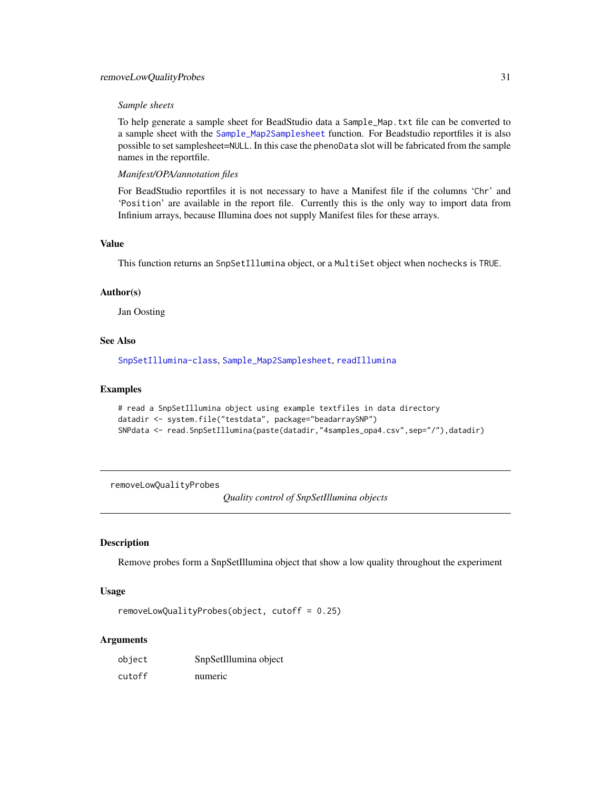### <span id="page-30-0"></span>removeLowQualityProbes 31

#### *Sample sheets*

To help generate a sample sheet for BeadStudio data a Sample\_Map.txt file can be converted to a sample sheet with the [Sample\\_Map2Samplesheet](#page-34-2) function. For Beadstudio reportfiles it is also possible to set samplesheet=NULL. In this case the phenoData slot will be fabricated from the sample names in the reportfile.

*Manifest/OPA/annotation files*

For BeadStudio reportfiles it is not necessary to have a Manifest file if the columns 'Chr' and 'Position' are available in the report file. Currently this is the only way to import data from Infinium arrays, because Illumina does not supply Manifest files for these arrays.

#### Value

This function returns an SnpSetIllumina object, or a MultiSet object when nochecks is TRUE.

#### Author(s)

Jan Oosting

### See Also

[SnpSetIllumina-class](#page-36-1), [Sample\\_Map2Samplesheet](#page-34-2), [readIllumina](#page-0-0)

#### Examples

```
# read a SnpSetIllumina object using example textfiles in data directory
datadir <- system.file("testdata", package="beadarraySNP")
SNPdata <- read.SnpSetIllumina(paste(datadir,"4samples_opa4.csv",sep="/"),datadir)
```
removeLowQualityProbes

*Quality control of SnpSetIllumina objects*

### Description

Remove probes form a SnpSetIllumina object that show a low quality throughout the experiment

#### Usage

```
removeLowQualityProbes(object, cutoff = 0.25)
```
#### Arguments

| object | SnpSetIllumina object |
|--------|-----------------------|
| cutoff | numeric               |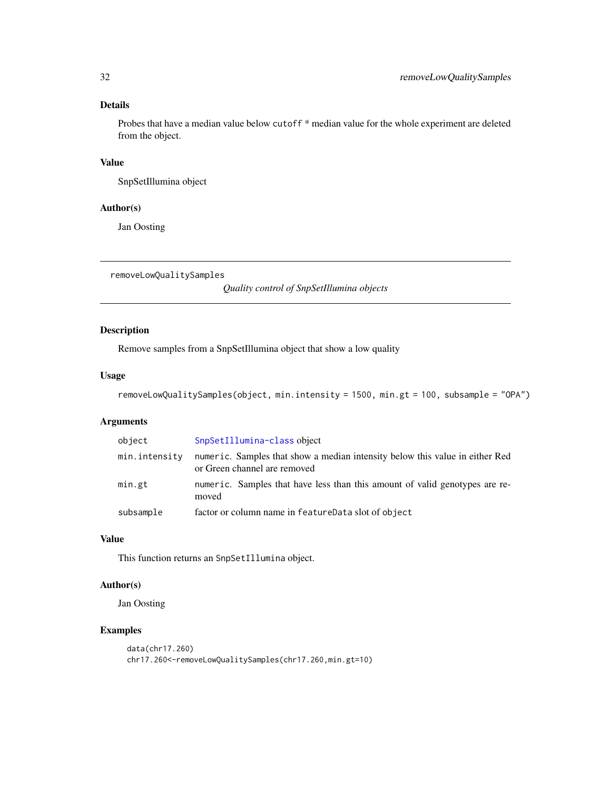### Details

Probes that have a median value below cutoff \* median value for the whole experiment are deleted from the object.

### Value

SnpSetIllumina object

#### Author(s)

Jan Oosting

removeLowQualitySamples

*Quality control of SnpSetIllumina objects*

### Description

Remove samples from a SnpSetIllumina object that show a low quality

#### Usage

```
removeLowQualitySamples(object, min.intensity = 1500, min.gt = 100, subsample = "OPA")
```
#### Arguments

| object        | SnpSetIllumina-class object                                                                                  |
|---------------|--------------------------------------------------------------------------------------------------------------|
| min.intensity | numeric. Samples that show a median intensity below this value in either Red<br>or Green channel are removed |
| min.gt        | numeric. Samples that have less than this amount of valid genotypes are re-<br>moved                         |
| subsample     | factor or column name in featureData slot of object                                                          |

### Value

This function returns an SnpSetIllumina object.

#### Author(s)

Jan Oosting

### Examples

```
data(chr17.260)
chr17.260<-removeLowQualitySamples(chr17.260,min.gt=10)
```
<span id="page-31-0"></span>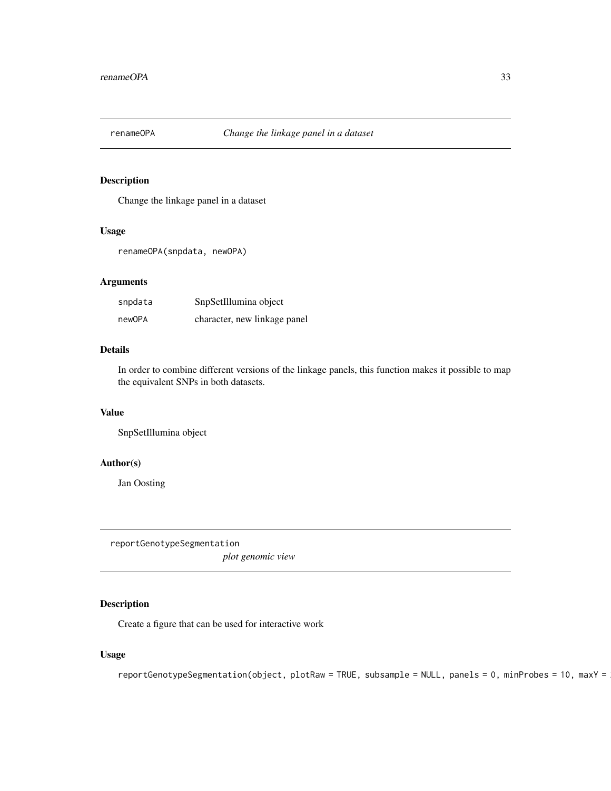<span id="page-32-0"></span>

### Description

Change the linkage panel in a dataset

#### Usage

renameOPA(snpdata, newOPA)

#### Arguments

| snpdata | SnpSetIllumina object        |
|---------|------------------------------|
| newOPA  | character, new linkage panel |

### Details

In order to combine different versions of the linkage panels, this function makes it possible to map the equivalent SNPs in both datasets.

### Value

SnpSetIllumina object

#### Author(s)

Jan Oosting

reportGenotypeSegmentation

*plot genomic view*

### Description

Create a figure that can be used for interactive work

### Usage

 $reportGenotypeSegmentation(object, plotRaw = TRUE, subsample = NULL, panels = 0, minProbes = 10, maxY =$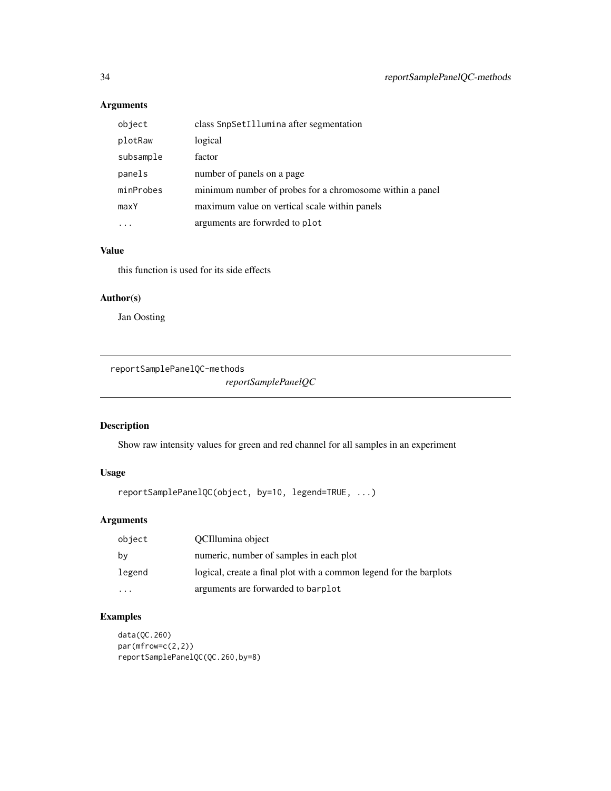### Arguments

| object    | class SnpSetIllumina after segmentation                  |
|-----------|----------------------------------------------------------|
| plotRaw   | logical                                                  |
| subsample | factor                                                   |
| panels    | number of panels on a page                               |
| minProbes | minimum number of probes for a chromosome within a panel |
| maxY      | maximum value on vertical scale within panels            |
|           | arguments are forwrded to plot                           |

### Value

this function is used for its side effects

#### Author(s)

Jan Oosting

reportSamplePanelQC-methods

*reportSamplePanelQC*

### <span id="page-33-1"></span>Description

Show raw intensity values for green and red channel for all samples in an experiment

### Usage

```
reportSamplePanelQC(object, by=10, legend=TRUE, ...)
```
### Arguments

| object               | OCIllumina object                                                  |
|----------------------|--------------------------------------------------------------------|
| by                   | numeric, number of samples in each plot                            |
| legend               | logical, create a final plot with a common legend for the barplots |
| $\ddot{\phantom{0}}$ | arguments are forwarded to barplot                                 |

### Examples

```
data(QC.260)
par(mfrow=c(2,2))
reportSamplePanelQC(QC.260,by=8)
```
<span id="page-33-0"></span>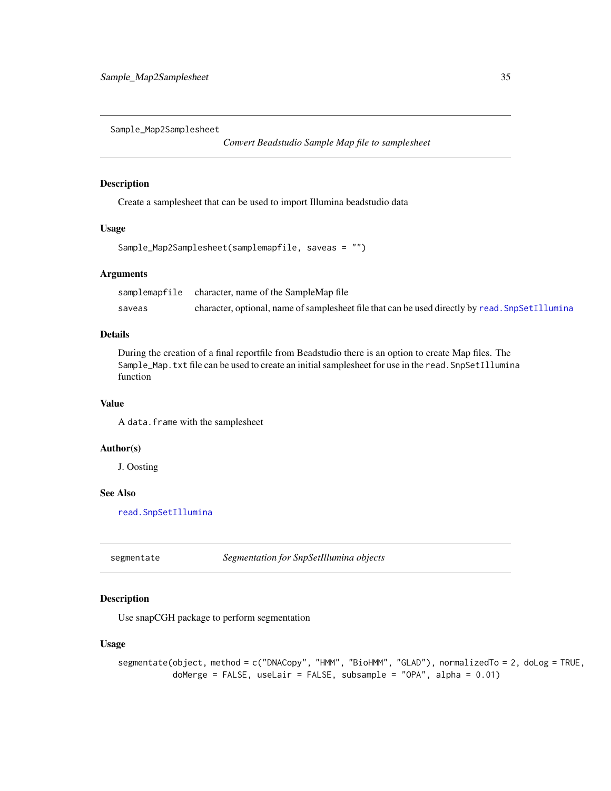<span id="page-34-2"></span><span id="page-34-0"></span>Sample\_Map2Samplesheet

*Convert Beadstudio Sample Map file to samplesheet*

#### Description

Create a samplesheet that can be used to import Illumina beadstudio data

#### Usage

```
Sample_Map2Samplesheet(samplemapfile, saveas = "")
```
#### Arguments

|        | samplemapfile character, name of the SampleMap file                                             |
|--------|-------------------------------------------------------------------------------------------------|
| saveas | character, optional, name of samplesheet file that can be used directly by read. SnpSetIllumina |

### Details

During the creation of a final reportfile from Beadstudio there is an option to create Map files. The Sample\_Map.txt file can be used to create an initial samplesheet for use in the read.SnpSetIllumina function

#### Value

A data.frame with the samplesheet

#### Author(s)

J. Oosting

### See Also

[read.SnpSetIllumina](#page-28-1)

<span id="page-34-1"></span>segmentate *Segmentation for SnpSetIllumina objects*

### Description

Use snapCGH package to perform segmentation

### Usage

```
segmentate(object, method = c("DNACopy", "HMM", "BioHMM", "GLAD"), normalizedTo = 2, doLog = TRUE,
           doMerge = FALSE, useLair = FALSE, subsample = "OPA", alpha = 0.01)
```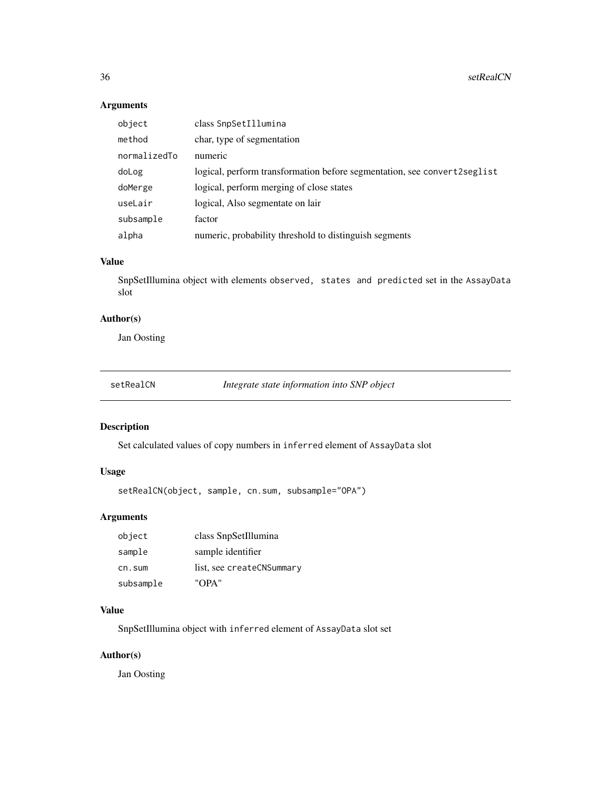### Arguments

| object       | class SnpSetIllumina                                                     |
|--------------|--------------------------------------------------------------------------|
| method       | char, type of segmentation                                               |
| normalizedTo | numeric                                                                  |
| doLog        | logical, perform transformation before segmentation, see convert2seglist |
| doMerge      | logical, perform merging of close states                                 |
| useLair      | logical, Also segmentate on lair                                         |
| subsample    | factor                                                                   |
| alpha        | numeric, probability threshold to distinguish segments                   |

### Value

SnpSetIllumina object with elements observed, states and predicted set in the AssayData slot

### Author(s)

Jan Oosting

<span id="page-35-1"></span>setRealCN *Integrate state information into SNP object*

### Description

Set calculated values of copy numbers in inferred element of AssayData slot

### Usage

```
setRealCN(object, sample, cn.sum, subsample="OPA")
```
### Arguments

| object    | class SnpSetIllumina      |
|-----------|---------------------------|
| sample    | sample identifier         |
| cn.sum    | list, see createCNSummary |
| subsample | "OPA"                     |

### Value

SnpSetIllumina object with inferred element of AssayData slot set

### Author(s)

Jan Oosting

<span id="page-35-0"></span>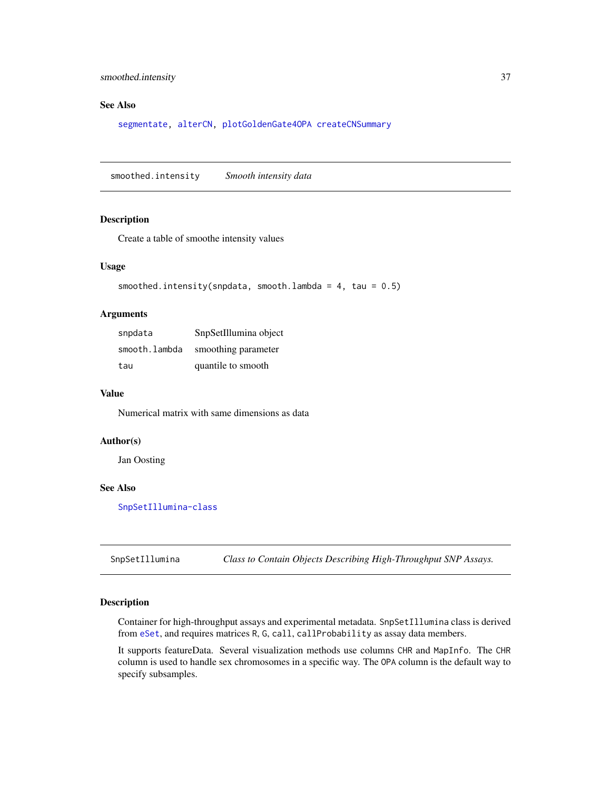### <span id="page-36-0"></span>smoothed.intensity 37

### See Also

[segmentate,](#page-34-1) [alterCN,](#page-1-1) [plotGoldenGate4OPA](#page-24-1) [createCNSummary](#page-9-1)

smoothed.intensity *Smooth intensity data*

### Description

Create a table of smoothe intensity values

#### Usage

```
smoothed.intensity(snpdata, smooth.lambda = 4, tau = 0.5)
```
### Arguments

| snpdata       | SnpSetIllumina object |
|---------------|-----------------------|
| smooth.lambda | smoothing parameter   |
| tau           | quantile to smooth    |

### Value

Numerical matrix with same dimensions as data

### Author(s)

Jan Oosting

### See Also

[SnpSetIllumina-class](#page-36-1)

<span id="page-36-2"></span>SnpSetIllumina *Class to Contain Objects Describing High-Throughput SNP Assays.*

#### <span id="page-36-1"></span>Description

Container for high-throughput assays and experimental metadata. SnpSetIllumina class is derived from [eSet](#page-0-0), and requires matrices R, G, call, callProbability as assay data members.

It supports featureData. Several visualization methods use columns CHR and MapInfo. The CHR column is used to handle sex chromosomes in a specific way. The OPA column is the default way to specify subsamples.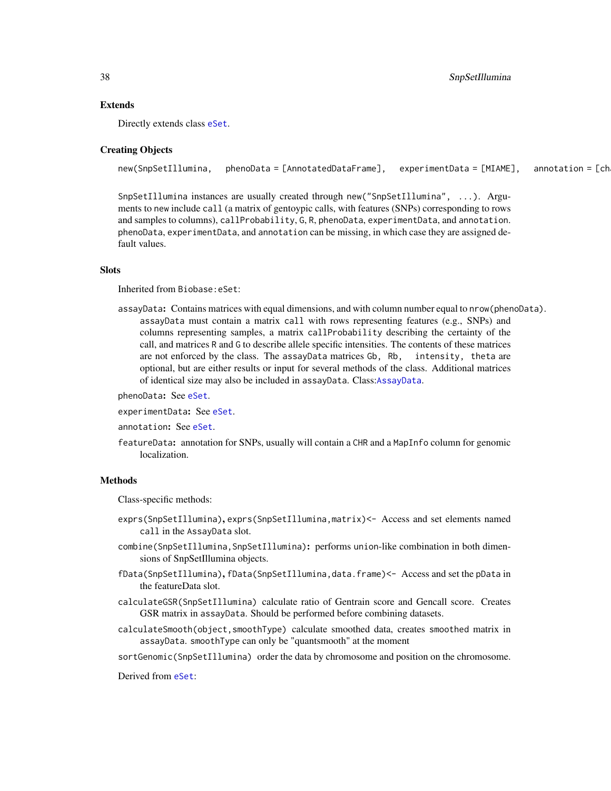#### Extends

Directly extends class [eSet](#page-0-0).

#### Creating Objects

```
new(SnpSetIllumina, phenoData = [AnnotatedDataFrame], experimentData = [MIAME], annotation = [ch
```
SnpSetIllumina instances are usually created through new("SnpSetIllumina", ...). Arguments to new include call (a matrix of gentoypic calls, with features (SNPs) corresponding to rows and samples to columns), callProbability, G, R, phenoData, experimentData, and annotation. phenoData, experimentData, and annotation can be missing, in which case they are assigned default values.

### **Slots**

Inherited from Biobase:eSet:

assayData: Contains matrices with equal dimensions, and with column number equal to nrow(phenoData). assayData must contain a matrix call with rows representing features (e.g., SNPs) and columns representing samples, a matrix callProbability describing the certainty of the call, and matrices R and G to describe allele specific intensities. The contents of these matrices are not enforced by the class. The assayData matrices Gb, Rb, intensity, theta are optional, but are either results or input for several methods of the class. Additional matrices of identical size may also be included in assayData. Class:[AssayData](#page-0-0).

phenoData: See [eSet](#page-0-0).

experimentData: See [eSet](#page-0-0).

annotation: See [eSet](#page-0-0).

featureData: annotation for SNPs, usually will contain a CHR and a MapInfo column for genomic localization.

#### **Methods**

Class-specific methods:

- exprs(SnpSetIllumina), exprs(SnpSetIllumina,matrix)<- Access and set elements named call in the AssayData slot.
- combine(SnpSetIllumina,SnpSetIllumina): performs union-like combination in both dimensions of SnpSetIllumina objects.
- fData(SnpSetIllumina), fData(SnpSetIllumina,data.frame)<- Access and set the pData in the featureData slot.
- calculateGSR(SnpSetIllumina) calculate ratio of Gentrain score and Gencall score. Creates GSR matrix in assayData. Should be performed before combining datasets.
- calculateSmooth(object,smoothType) calculate smoothed data, creates smoothed matrix in assayData. smoothType can only be "quantsmooth" at the moment
- sortGenomic(SnpSetIllumina) order the data by chromosome and position on the chromosome.

Derived from [eSet](#page-0-0):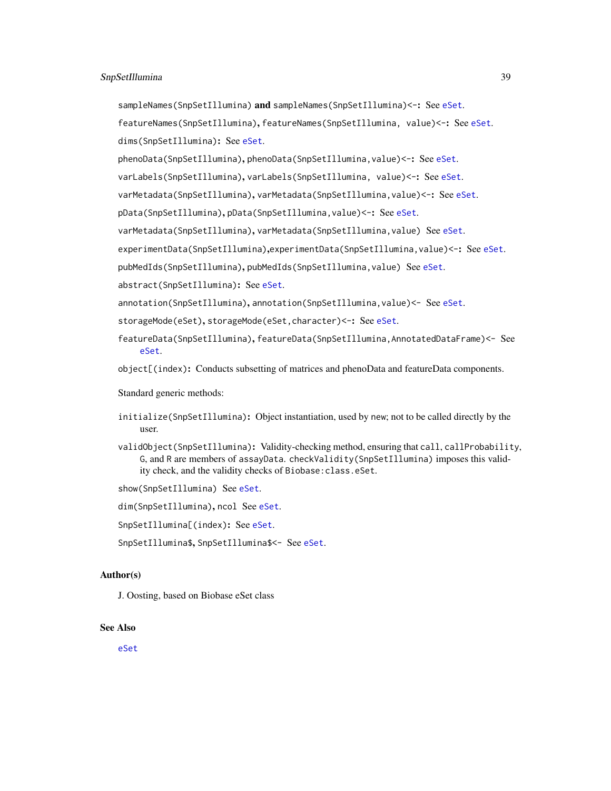sampleNames(SnpSetIllumina) and sampleNames(SnpSetIllumina)<-: See [eSet](#page-0-0).

featureNames(SnpSetIllumina), featureNames(SnpSetIllumina, value)<-: See [eSet](#page-0-0). dims(SnpSetIllumina): See [eSet](#page-0-0).

phenoData(SnpSetIllumina), phenoData(SnpSetIllumina,value)<-: See [eSet](#page-0-0).

varLabels(SnpSetIllumina), varLabels(SnpSetIllumina, value)<-: See [eSet](#page-0-0).

varMetadata(SnpSetIllumina), varMetadata(SnpSetIllumina,value)<-: See [eSet](#page-0-0).

pData(SnpSetIllumina), pData(SnpSetIllumina,value)<-: See [eSet](#page-0-0).

varMetadata(SnpSetIllumina), varMetadata(SnpSetIllumina, value) See [eSet](#page-0-0).

experimentData(SnpSetIllumina),experimentData(SnpSetIllumina,value)<-: See [eSet](#page-0-0).

pubMedIds(SnpSetIllumina), pubMedIds(SnpSetIllumina, value) See [eSet](#page-0-0).

abstract(SnpSetIllumina): See [eSet](#page-0-0).

annotation(SnpSetIllumina), annotation(SnpSetIllumina,value)<- See [eSet](#page-0-0).

storageMode([eSet](#page-0-0)), storageMode(eSet, character)<-: See eSet.

featureData(SnpSetIllumina), featureData(SnpSetIllumina,AnnotatedDataFrame)<- See [eSet](#page-0-0).

object[(index): Conducts subsetting of matrices and phenoData and featureData components.

Standard generic methods:

- initialize(SnpSetIllumina): Object instantiation, used by new; not to be called directly by the user.
- validObject(SnpSetIllumina): Validity-checking method, ensuring that call, callProbability, G, and R are members of assayData. checkValidity(SnpSetIllumina) imposes this validity check, and the validity checks of Biobase:class.eSet.

show(SnpSetIllumina) See [eSet](#page-0-0).

dim(SnpSetIllumina), ncol See [eSet](#page-0-0).

SnpSetIllumina[(index): See [eSet](#page-0-0).

SnpSetIllumina\$, SnpSetIllumina\$<- See [eSet](#page-0-0).

#### Author(s)

J. Oosting, based on Biobase eSet class

#### See Also

[eSet](#page-0-0)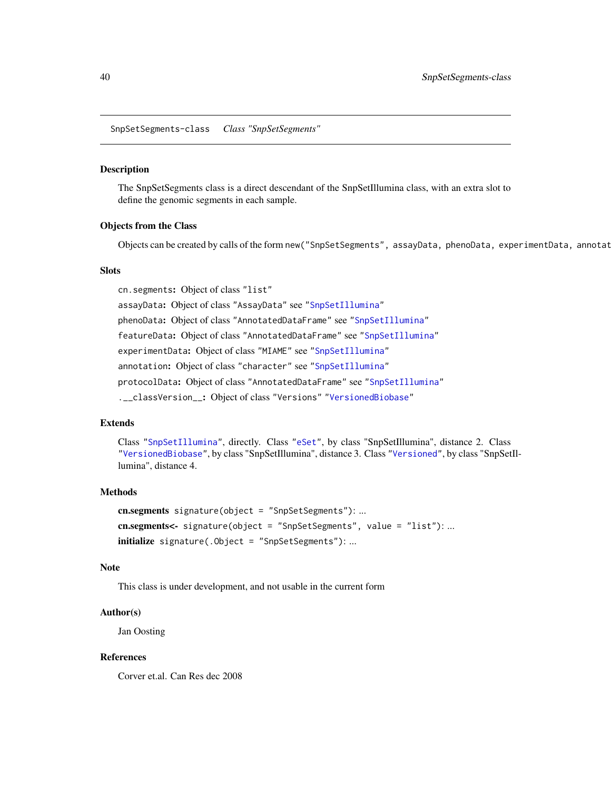<span id="page-39-0"></span>SnpSetSegments-class *Class "SnpSetSegments"*

#### Description

The SnpSetSegments class is a direct descendant of the SnpSetIllumina class, with an extra slot to define the genomic segments in each sample.

#### Objects from the Class

Objects can be created by calls of the form new("SnpSetSegments", assayData, phenoData, experimentData, annotat

#### **Slots**

cn.segments: Object of class "list" assayData: Object of class "AssayData" see ["SnpSetIllumina"](#page-36-1) phenoData: Object of class "AnnotatedDataFrame" see ["SnpSetIllumina"](#page-36-1) featureData: Object of class "AnnotatedDataFrame" see ["SnpSetIllumina"](#page-36-1) experimentData: Object of class "MIAME" see ["SnpSetIllumina"](#page-36-1) annotation: Object of class "character" see ["SnpSetIllumina"](#page-36-1) protocolData: Object of class "AnnotatedDataFrame" see ["SnpSetIllumina"](#page-36-1) .\_\_classVersion\_\_: Object of class "Versions" ["VersionedBiobase"](#page-0-0)

### Extends

Class ["SnpSetIllumina"](#page-36-1), directly. Class ["eSet"](#page-0-0), by class "SnpSetIllumina", distance 2. Class ["VersionedBiobase"](#page-0-0), by class "SnpSetIllumina", distance 3. Class ["Versioned"](#page-0-0), by class "SnpSetIllumina", distance 4.

### Methods

cn.segments signature(object = "SnpSetSegments"): ... cn.segments<- signature(object = "SnpSetSegments", value = "list"): ... initialize signature(.Object = "SnpSetSegments"): ...

### Note

This class is under development, and not usable in the current form

#### Author(s)

Jan Oosting

#### References

Corver et.al. Can Res dec 2008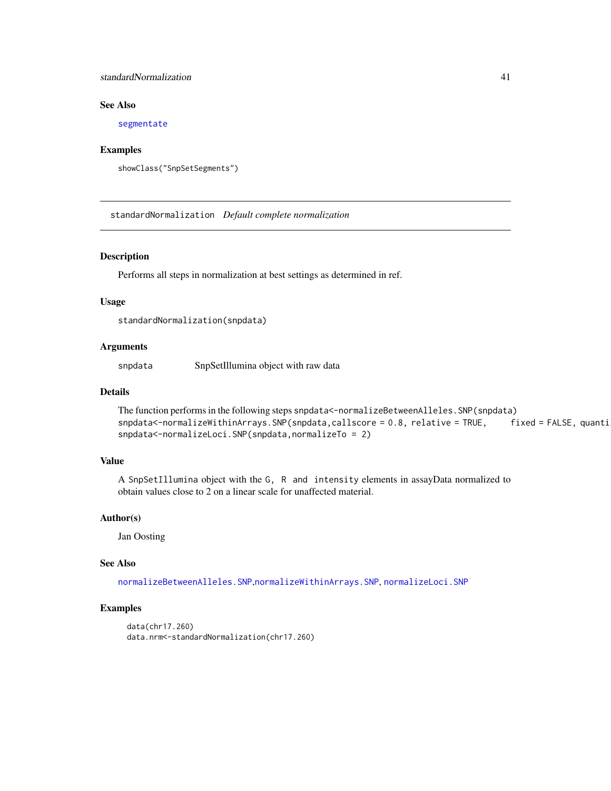### <span id="page-40-0"></span>standardNormalization 41

### See Also

[segmentate](#page-34-1)

#### Examples

```
showClass("SnpSetSegments")
```
standardNormalization *Default complete normalization*

#### Description

Performs all steps in normalization at best settings as determined in ref.

### Usage

standardNormalization(snpdata)

### Arguments

snpdata SnpSetIllumina object with raw data

#### Details

```
The function performs in the following steps snpdata<-normalizeBetweenAlleles.SNP(snpdata)
snpdata<-normalizeWithinArrays.SNP(snpdata,callscore = 0.8, relative = TRUE, fixed = FALSE, quanti
snpdata<-normalizeLoci.SNP(snpdata,normalizeTo = 2)
```
### Value

A SnpSetIllumina object with the G, R and intensity elements in assayData normalized to obtain values close to 2 on a linear scale for unaffected material.

#### Author(s)

Jan Oosting

#### See Also

[normalizeBetweenAlleles.SNP](#page-18-1),[normalizeWithinArrays.SNP](#page-21-1), [normalizeLoci.SNP](#page-20-1)

#### Examples

```
data(chr17.260)
data.nrm<-standardNormalization(chr17.260)
```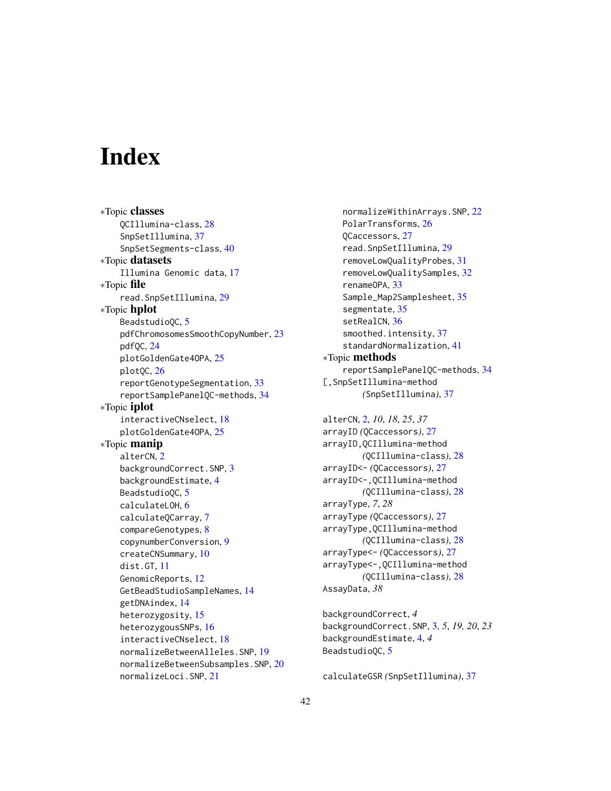# <span id="page-41-0"></span>**Index**

∗Topic classes QCIllumina-class, [28](#page-27-0) SnpSetIllumina, [37](#page-36-0) SnpSetSegments-class, [40](#page-39-0) ∗Topic datasets Illumina Genomic data, [17](#page-16-0) ∗Topic file read.SnpSetIllumina, [29](#page-28-0) ∗Topic hplot BeadstudioQC, [5](#page-4-0) pdfChromosomesSmoothCopyNumber, [23](#page-22-0) pdfQC, [24](#page-23-0) plotGoldenGate4OPA, [25](#page-24-0) plotQC, [26](#page-25-0) reportGenotypeSegmentation, [33](#page-32-0) reportSamplePanelQC-methods, [34](#page-33-0) ∗Topic iplot interactiveCNselect, [18](#page-17-0) plotGoldenGate4OPA, [25](#page-24-0) ∗Topic manip alterCN, [2](#page-1-0) backgroundCorrect.SNP, [3](#page-2-0) backgroundEstimate, [4](#page-3-0) BeadstudioQC, [5](#page-4-0) calculateLOH, [6](#page-5-0) calculateQCarray, [7](#page-6-0) compareGenotypes, [8](#page-7-0) copynumberConversion, [9](#page-8-0) createCNSummary, [10](#page-9-0) dist.GT, [11](#page-10-0) GenomicReports, [12](#page-11-0) GetBeadStudioSampleNames, [14](#page-13-0) getDNAindex, [14](#page-13-0) heterozygosity, [15](#page-14-0) heterozygousSNPs, [16](#page-15-0) interactiveCNselect, [18](#page-17-0) normalizeBetweenAlleles.SNP, [19](#page-18-0) normalizeBetweenSubsamples.SNP, [20](#page-19-0) normalizeLoci.SNP, [21](#page-20-0)

normalizeWithinArrays.SNP, [22](#page-21-0) PolarTransforms, [26](#page-25-0) QCaccessors, [27](#page-26-0) read.SnpSetIllumina, [29](#page-28-0) removeLowQualityProbes, [31](#page-30-0) removeLowQualitySamples, [32](#page-31-0) renameOPA, [33](#page-32-0) Sample\_Map2Samplesheet, [35](#page-34-0) segmentate, [35](#page-34-0) setRealCN, [36](#page-35-0) smoothed.intensity, [37](#page-36-0) standardNormalization, [41](#page-40-0) ∗Topic methods reportSamplePanelQC-methods, [34](#page-33-0) [,SnpSetIllumina-method *(*SnpSetIllumina*)*, [37](#page-36-0)

alterCN, [2,](#page-1-0) *10*, *18*, *25*, *37* arrayID *(*QCaccessors*)*, [27](#page-26-0) arrayID,QCIllumina-method *(*QCIllumina-class*)*, [28](#page-27-0) arrayID<- *(*QCaccessors*)*, [27](#page-26-0) arrayID<-,QCIllumina-method *(*QCIllumina-class*)*, [28](#page-27-0) arrayType, *7*, *28* arrayType *(*QCaccessors*)*, [27](#page-26-0) arrayType,QCIllumina-method *(*QCIllumina-class*)*, [28](#page-27-0) arrayType<- *(*QCaccessors*)*, [27](#page-26-0) arrayType<-,QCIllumina-method *(*QCIllumina-class*)*, [28](#page-27-0) AssayData, *38*

backgroundCorrect, *4* backgroundCorrect.SNP, [3,](#page-2-0) *5*, *19, 20*, *23* backgroundEstimate, [4,](#page-3-0) *4* BeadstudioQC, [5](#page-4-0)

calculateGSR *(*SnpSetIllumina*)*, [37](#page-36-0)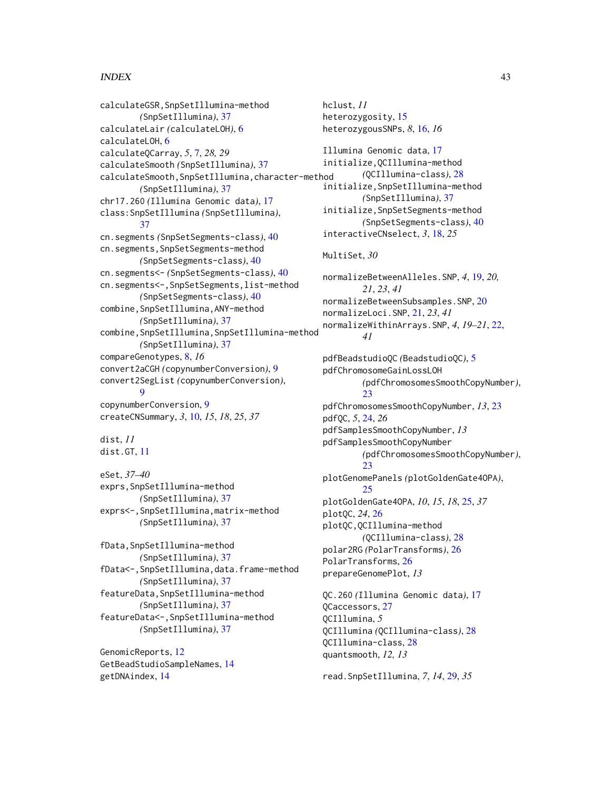### $I<sub>N</sub>$  and  $I<sub>3</sub>$  and  $I<sub>43</sub>$

calculateGSR,SnpSetIllumina-method *(*SnpSetIllumina*)*, [37](#page-36-0) calculateLair *(*calculateLOH*)*, [6](#page-5-0) calculateLOH, [6](#page-5-0) calculateQCarray, *5*, [7,](#page-6-0) *28, 29* calculateSmooth *(*SnpSetIllumina*)*, [37](#page-36-0) calculateSmooth,SnpSetIllumina,character-method *(*SnpSetIllumina*)*, [37](#page-36-0) chr17.260 *(*Illumina Genomic data*)*, [17](#page-16-0) class:SnpSetIllumina *(*SnpSetIllumina*)*, [37](#page-36-0) cn.segments *(*SnpSetSegments-class*)*, [40](#page-39-0) cn.segments,SnpSetSegments-method *(*SnpSetSegments-class*)*, [40](#page-39-0) cn.segments<- *(*SnpSetSegments-class*)*, [40](#page-39-0) cn.segments<-,SnpSetSegments,list-method *(*SnpSetSegments-class*)*, [40](#page-39-0) combine,SnpSetIllumina,ANY-method *(*SnpSetIllumina*)*, [37](#page-36-0) combine,SnpSetIllumina,SnpSetIllumina-method *(*SnpSetIllumina*)*, [37](#page-36-0) compareGenotypes, [8,](#page-7-0) *16* convert2aCGH *(*copynumberConversion*)*, [9](#page-8-0) convert2SegList *(*copynumberConversion*)*, **[9](#page-8-0)** copynumberConversion, [9](#page-8-0) createCNSummary, *3*, [10,](#page-9-0) *15*, *18*, *25*, *37* dist, *11* dist.GT, [11](#page-10-0) eSet, *37–40* exprs,SnpSetIllumina-method *(*SnpSetIllumina*)*, [37](#page-36-0) exprs<-,SnpSetIllumina,matrix-method *(*SnpSetIllumina*)*, [37](#page-36-0) fData,SnpSetIllumina-method *(*SnpSetIllumina*)*, [37](#page-36-0) fData<-,SnpSetIllumina,data.frame-method *(*SnpSetIllumina*)*, [37](#page-36-0) featureData,SnpSetIllumina-method *(*SnpSetIllumina*)*, [37](#page-36-0) featureData<-,SnpSetIllumina-method *(*SnpSetIllumina*)*, [37](#page-36-0) GenomicReports, [12](#page-11-0) GetBeadStudioSampleNames, [14](#page-13-0) getDNAindex, [14](#page-13-0)

hclust, *11* heterozygosity, [15](#page-14-0) heterozygousSNPs, *8*, [16,](#page-15-0) *16* Illumina Genomic data, [17](#page-16-0) initialize,QCIllumina-method *(*QCIllumina-class*)*, [28](#page-27-0) initialize,SnpSetIllumina-method *(*SnpSetIllumina*)*, [37](#page-36-0) initialize,SnpSetSegments-method *(*SnpSetSegments-class*)*, [40](#page-39-0) interactiveCNselect, *3*, [18,](#page-17-0) *25* MultiSet, *30* normalizeBetweenAlleles.SNP, *4*, [19,](#page-18-0) *20, 21*, *23*, *41* normalizeBetweenSubsamples.SNP, [20](#page-19-0) normalizeLoci.SNP, [21,](#page-20-0) *23*, *41* normalizeWithinArrays.SNP, *4*, *19–21*, [22,](#page-21-0) *41* pdfBeadstudioQC *(*BeadstudioQC*)*, [5](#page-4-0) pdfChromosomeGainLossLOH *(*pdfChromosomesSmoothCopyNumber*)*, [23](#page-22-0) pdfChromosomesSmoothCopyNumber, *13*, [23](#page-22-0) pdfQC, *5*, [24,](#page-23-0) *26* pdfSamplesSmoothCopyNumber, *13* pdfSamplesSmoothCopyNumber *(*pdfChromosomesSmoothCopyNumber*)*,  $23$ plotGenomePanels *(*plotGoldenGate4OPA*)*,  $25$ plotGoldenGate4OPA, *10*, *15*, *18*, [25,](#page-24-0) *37* plotQC, *24*, [26](#page-25-0) plotQC,QCIllumina-method *(*QCIllumina-class*)*, [28](#page-27-0) polar2RG *(*PolarTransforms*)*, [26](#page-25-0) PolarTransforms, [26](#page-25-0) prepareGenomePlot, *13* QC.260 *(*Illumina Genomic data*)*, [17](#page-16-0) QCaccessors, [27](#page-26-0) QCIllumina, *5* QCIllumina *(*QCIllumina-class*)*, [28](#page-27-0) QCIllumina-class, [28](#page-27-0) quantsmooth, *12, 13*

read.SnpSetIllumina, *7*, *14*, [29,](#page-28-0) *35*